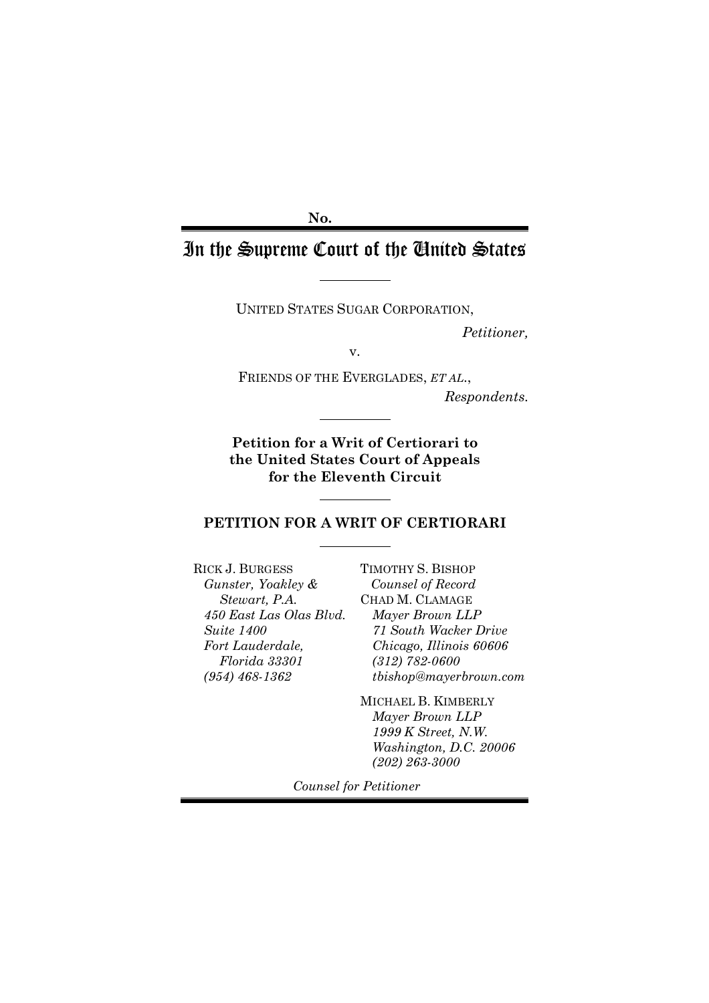**No.**

# In the Supreme Court of the United States

UNITED STATES SUGAR CORPORATION,

*Petitioner,*

v.

FRIENDS OF THE EVERGLADES, *ET AL*., *Respondents.*

**Petition for a Writ of Certiorari to the United States Court of Appeals for the Eleventh Circuit**

### **PETITION FOR A WRIT OF CERTIORARI**

RICK J. BURGESS *Gunster, Yoakley & Stewart, P.A. 450 East Las Olas Blvd. Suite 1400 Fort Lauderdale, Florida 33301 (954) 468-1362*

TIMOTHY S. BISHOP *Counsel of Record* CHAD M. CLAMAGE *Mayer Brown LLP 71 South Wacker Drive Chicago, Illinois 60606 (312) 782-0600 tbishop@mayerbrown.com*

MICHAEL B. KIMBERLY *Mayer Brown LLP 1999 K Street, N.W. Washington, D.C. 20006 (202) 263-3000*

*Counsel for Petitioner*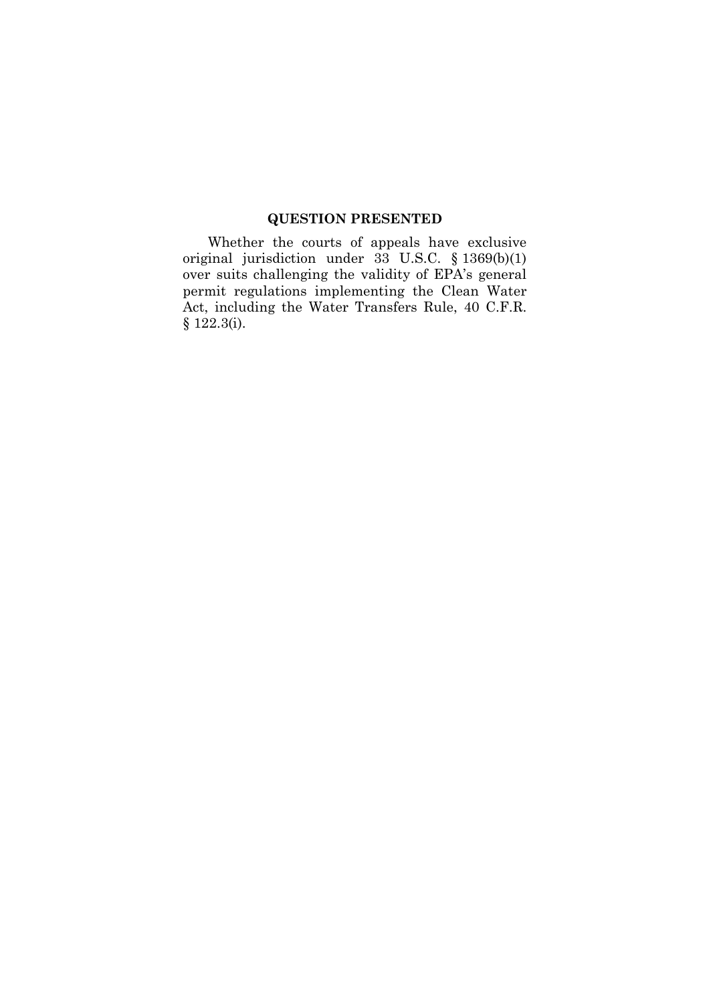## **QUESTION PRESENTED**

Whether the courts of appeals have exclusive original jurisdiction under 33 U.S.C. § 1369(b)(1) over suits challenging the validity of EPA's general permit regulations implementing the Clean Water Act, including the Water Transfers Rule, 40 C.F.R. § 122.3(i).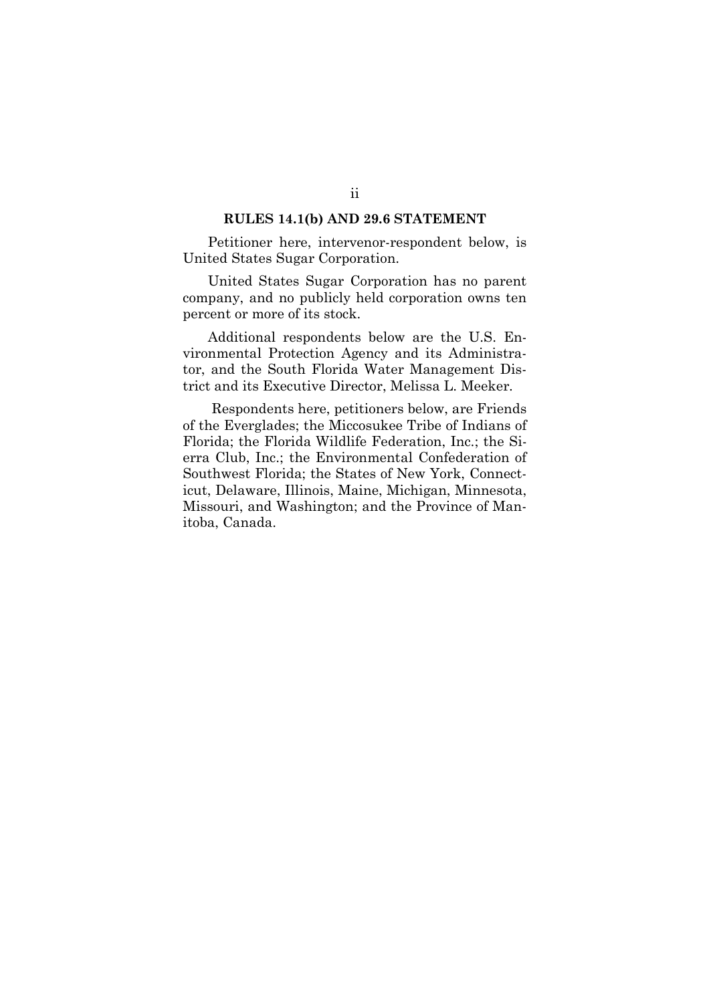#### **RULES 14.1(b) AND 29.6 STATEMENT**

Petitioner here, intervenor-respondent below, is United States Sugar Corporation.

United States Sugar Corporation has no parent company, and no publicly held corporation owns ten percent or more of its stock.

Additional respondents below are the U.S. Environmental Protection Agency and its Administrator, and the South Florida Water Management District and its Executive Director, Melissa L. Meeker.

Respondents here, petitioners below, are Friends of the Everglades; the Miccosukee Tribe of Indians of Florida; the Florida Wildlife Federation, Inc.; the Sierra Club, Inc.; the Environmental Confederation of Southwest Florida; the States of New York, Connecticut, Delaware, Illinois, Maine, Michigan, Minnesota, Missouri, and Washington; and the Province of Manitoba, Canada.

## ii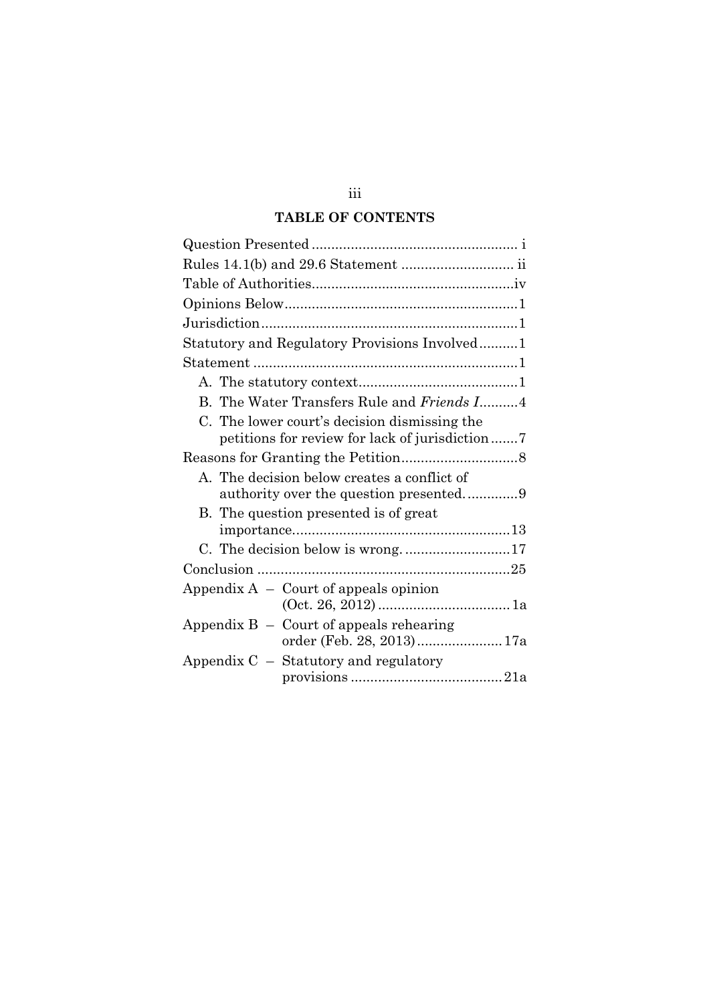## **TABLE OF CONTENTS**

| Rules 14.1(b) and 29.6 Statement  ii                                                            |
|-------------------------------------------------------------------------------------------------|
|                                                                                                 |
|                                                                                                 |
|                                                                                                 |
| Statutory and Regulatory Provisions Involved1                                                   |
|                                                                                                 |
|                                                                                                 |
| B. The Water Transfers Rule and Friends I4                                                      |
| C. The lower court's decision dismissing the<br>petitions for review for lack of jurisdiction 7 |
|                                                                                                 |
| A. The decision below creates a conflict of                                                     |
| B. The question presented is of great                                                           |
|                                                                                                 |
|                                                                                                 |
|                                                                                                 |
| Appendix $A -$ Court of appeals opinion                                                         |
| Appendix $B -$ Court of appeals rehearing<br>order (Feb. 28, 2013)17a                           |
| Appendix $C -$ Statutory and regulatory                                                         |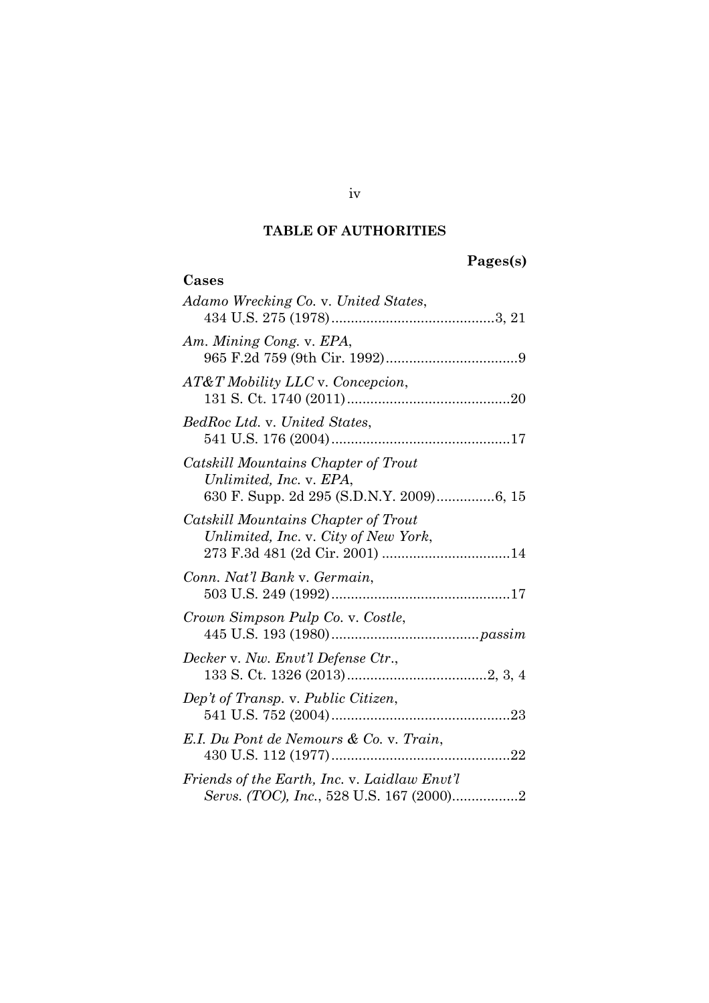## **TABLE OF AUTHORITIES**

# **Pages(s)**

| Cases                                                                       |
|-----------------------------------------------------------------------------|
| Adamo Wrecking Co. v. United States,                                        |
| Am. Mining Cong. v. EPA,                                                    |
| AT&T Mobility LLC v. Concepcion,                                            |
| BedRoc Ltd. v. United States,                                               |
| Catskill Mountains Chapter of Trout<br>Unlimited, Inc. v. EPA,              |
| Catskill Mountains Chapter of Trout<br>Unlimited, Inc. v. City of New York, |
| Conn. Nat'l Bank v. Germain,                                                |
| Crown Simpson Pulp Co. v. Costle,                                           |
| Decker v. Nw. Envt'l Defense Ctr.,                                          |
| Dep't of Transp. v. Public Citizen,                                         |
| E.I. Du Pont de Nemours & Co. v. Train,                                     |
| Friends of the Earth, Inc. v. Laidlaw Envt'l                                |

iv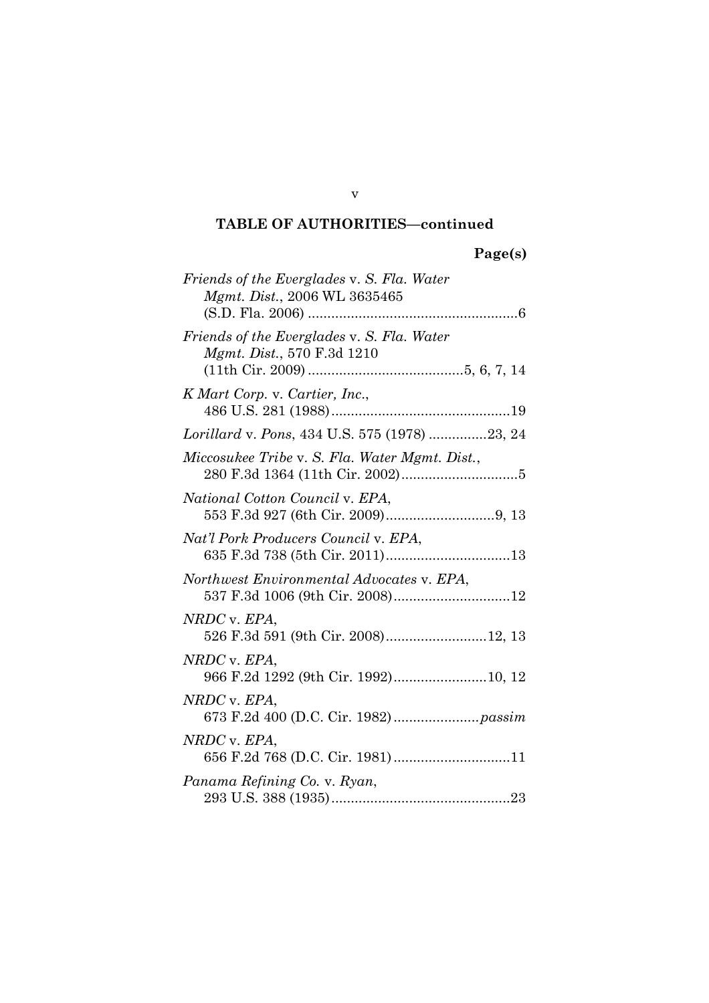## **TABLE OF AUTHORITIES—continued**

| Friends of the Everglades v. S. Fla. Water<br>Mgmt. Dist., 2006 WL 3635465       |
|----------------------------------------------------------------------------------|
| Friends of the Everglades v. S. Fla. Water<br><i>Mgmt. Dist.</i> , 570 F.3d 1210 |
| K Mart Corp. v. Cartier, Inc.,                                                   |
| Lorillard v. Pons, 434 U.S. 575 (1978) 23, 24                                    |
| Miccosukee Tribe v. S. Fla. Water Mgmt. Dist.,                                   |
| National Cotton Council v. EPA,                                                  |
| Nat'l Pork Producers Council v. EPA,<br>635 F.3d 738 (5th Cir. 2011)13           |
| Northwest Environmental Advocates v. EPA,<br>537 F.3d 1006 (9th Cir. 2008)12     |
| NRDC v. EPA,<br>526 F.3d 591 (9th Cir. 2008)12, 13                               |
| NRDC v. EPA,<br>966 F.2d 1292 (9th Cir. 1992)10, 12                              |
| NRDC v. EPA,                                                                     |
| NRDC v. EPA,<br>656 F.2d 768 (D.C. Cir. 1981)11                                  |
| Panama Refining Co. v. Ryan,                                                     |

v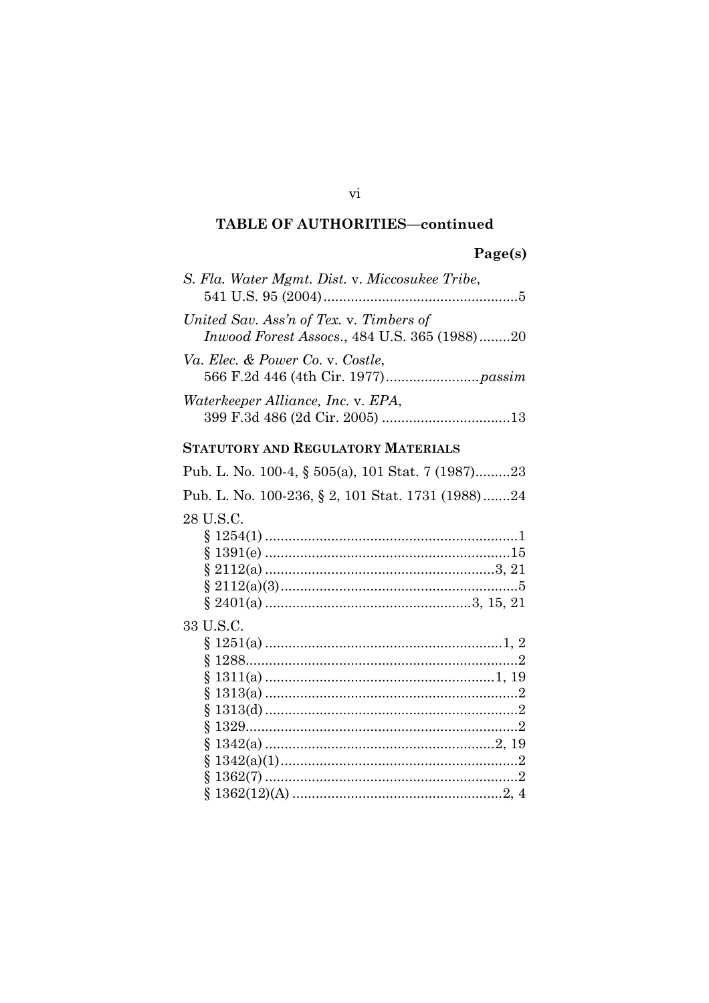## **TABLE OF AUTHORITIES-continued**

### Page(s)

| S. Fla. Water Mgmt. Dist. v. Miccosukee Tribe,                                          |
|-----------------------------------------------------------------------------------------|
| United Sav. Ass'n of Tex. v. Timbers of<br>Inwood Forest Assocs., 484 U.S. 365 (1988)20 |
| Va. Elec. & Power Co. v. Costle,                                                        |
| Waterkeeper Alliance, Inc. v. EPA,                                                      |
| STATUTORY AND REGULATORY MATERIALS                                                      |
| Pub. L. No. 100-4, § 505(a), 101 Stat. 7 (1987)23                                       |
| Pub. L. No. 100-236, § 2, 101 Stat. 1731 (1988)24                                       |
| 28 U.S.C.                                                                               |
| 33 U.S.C.                                                                               |

#### vi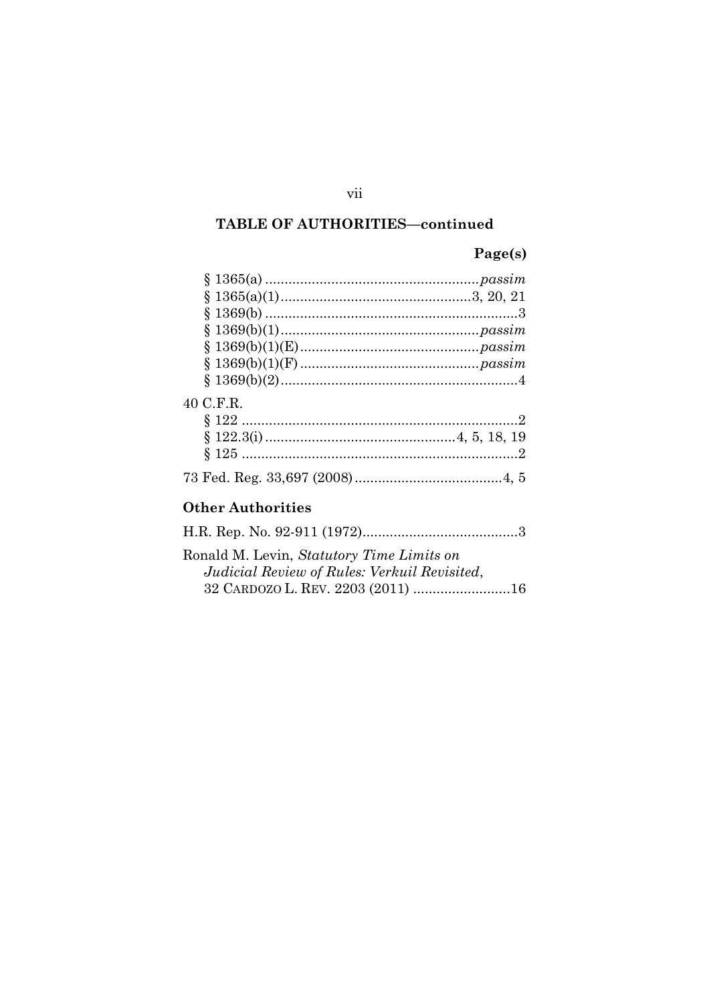## TABLE OF AUTHORITIES-continued

## Page(s)

| 40 C.F.R.                                        |
|--------------------------------------------------|
|                                                  |
|                                                  |
|                                                  |
|                                                  |
| Other Authorities                                |
|                                                  |
| Ronald M. Levin, <i>Statutory Time Limits on</i> |
| Judicial Review of Rules: Verkuil Revisited,     |
| 32 CARDOZO L. REV. 2203 (2011) 16                |

## vii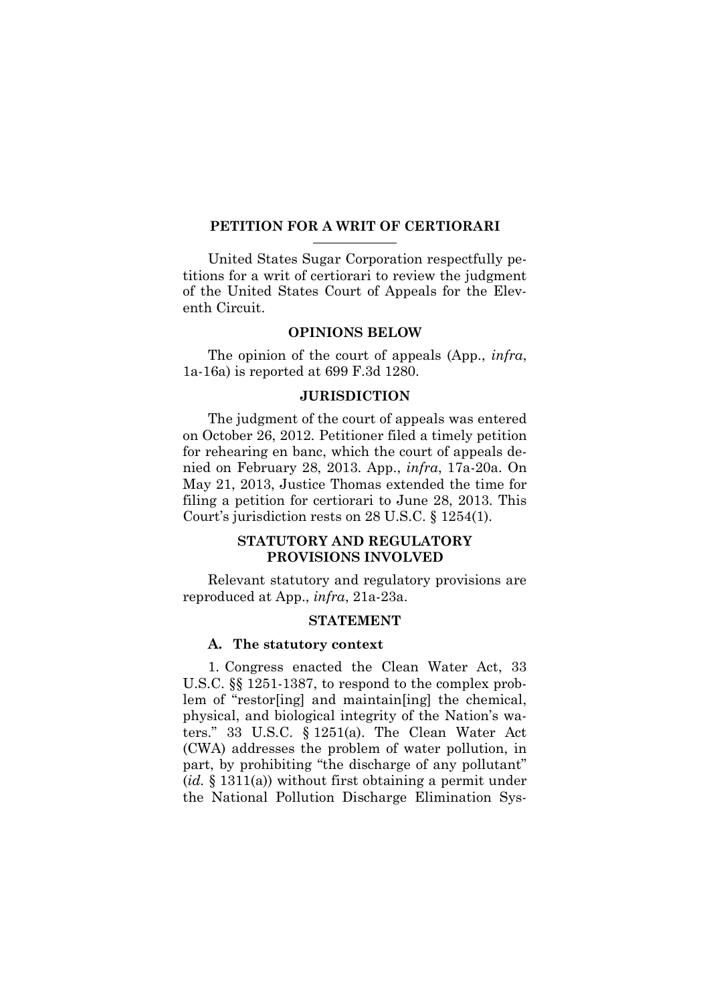#### **PETITION FOR A WRIT OF CERTIORARI**

United States Sugar Corporation respectfully petitions for a writ of certiorari to review the judgment of the United States Court of Appeals for the Eleventh Circuit.

#### **OPINIONS BELOW**

The opinion of the court of appeals (App., *infra*, 1a-16a) is reported at 699 F.3d 1280.

#### **JURISDICTION**

The judgment of the court of appeals was entered on October 26, 2012. Petitioner filed a timely petition for rehearing en banc, which the court of appeals denied on February 28, 2013. App., *infra*, 17a-20a. On May 21, 2013, Justice Thomas extended the time for filing a petition for certiorari to June 28, 2013. This Court's jurisdiction rests on 28 U.S.C. § 1254(1).

### **STATUTORY AND REGULATORY PROVISIONS INVOLVED**

Relevant statutory and regulatory provisions are reproduced at App., *infra*, 21a-23a.

#### **STATEMENT**

#### **A. The statutory context**

1. Congress enacted the Clean Water Act, 33 U.S.C. §§ 1251-1387, to respond to the complex problem of "restor[ing] and maintain[ing] the chemical, physical, and biological integrity of the Nation's waters." 33 U.S.C. § 1251(a). The Clean Water Act (CWA) addresses the problem of water pollution, in part, by prohibiting "the discharge of any pollutant" (*id.* § 1311(a)) without first obtaining a permit under the National Pollution Discharge Elimination Sys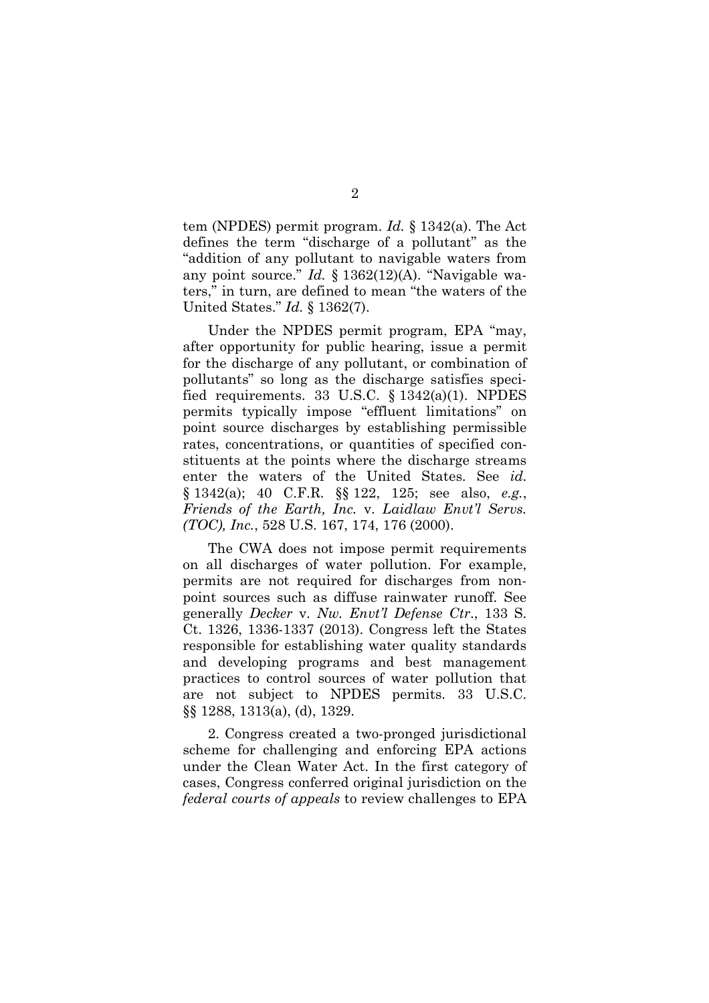tem (NPDES) permit program. *Id.* § 1342(a). The Act defines the term "discharge of a pollutant" as the "addition of any pollutant to navigable waters from any point source." *Id.* § 1362(12)(A). "Navigable waters," in turn, are defined to mean "the waters of the United States." *Id.* § 1362(7).

Under the NPDES permit program, EPA "may, after opportunity for public hearing, issue a permit for the discharge of any pollutant, or combination of pollutants" so long as the discharge satisfies specified requirements. 33 U.S.C. § 1342(a)(1). NPDES permits typically impose "effluent limitations" on point source discharges by establishing permissible rates, concentrations, or quantities of specified constituents at the points where the discharge streams enter the waters of the United States. See *id.* § 1342(a); 40 C.F.R. §§ 122, 125; see also, *e.g.*, *Friends of the Earth, Inc.* v. *Laidlaw Envt'l Servs. (TOC), Inc.*, 528 U.S. 167, 174, 176 (2000).

The CWA does not impose permit requirements on all discharges of water pollution. For example, permits are not required for discharges from nonpoint sources such as diffuse rainwater runoff. See generally *Decker* v. *Nw. Envt'l Defense Ctr*., 133 S. Ct. 1326, 1336-1337 (2013). Congress left the States responsible for establishing water quality standards and developing programs and best management practices to control sources of water pollution that are not subject to NPDES permits. 33 U.S.C. §§ 1288, 1313(a), (d), 1329.

2. Congress created a two-pronged jurisdictional scheme for challenging and enforcing EPA actions under the Clean Water Act. In the first category of cases, Congress conferred original jurisdiction on the *federal courts of appeals* to review challenges to EPA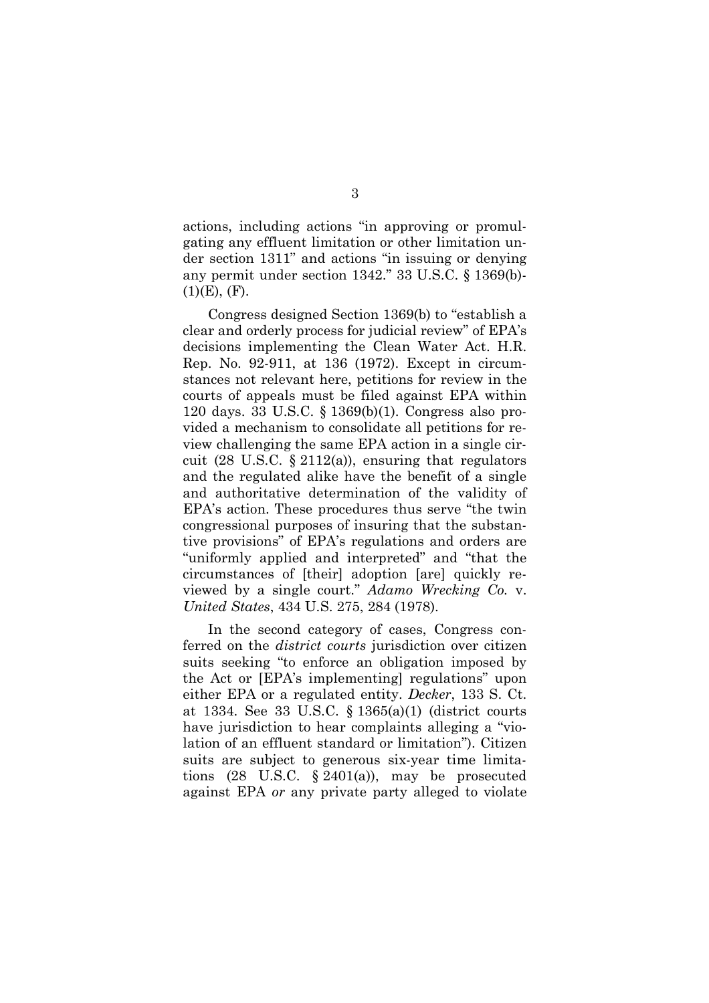actions, including actions "in approving or promulgating any effluent limitation or other limitation under section 1311" and actions "in issuing or denying any permit under section 1342." 33 U.S.C. § 1369(b)-  $(1)(E)$ ,  $(F)$ .

Congress designed Section 1369(b) to "establish a clear and orderly process for judicial review" of EPA's decisions implementing the Clean Water Act. H.R. Rep. No. 92-911, at 136 (1972). Except in circumstances not relevant here, petitions for review in the courts of appeals must be filed against EPA within 120 days. 33 U.S.C. § 1369(b)(1). Congress also provided a mechanism to consolidate all petitions for review challenging the same EPA action in a single circuit (28 U.S.C.  $\S 2112(a)$ ), ensuring that regulators and the regulated alike have the benefit of a single and authoritative determination of the validity of EPA's action. These procedures thus serve "the twin congressional purposes of insuring that the substantive provisions" of EPA's regulations and orders are "uniformly applied and interpreted" and "that the circumstances of [their] adoption [are] quickly reviewed by a single court." *Adamo Wrecking Co.* v. *United States*, 434 U.S. 275, 284 (1978).

In the second category of cases, Congress conferred on the *district courts* jurisdiction over citizen suits seeking "to enforce an obligation imposed by the Act or [EPA's implementing] regulations" upon either EPA or a regulated entity. *Decker*, 133 S. Ct. at 1334. See 33 U.S.C. § 1365(a)(1) (district courts have jurisdiction to hear complaints alleging a "violation of an effluent standard or limitation"). Citizen suits are subject to generous six-year time limitations  $(28 \text{ U.S.C. } § 2401(a))$ , may be prosecuted against EPA *or* any private party alleged to violate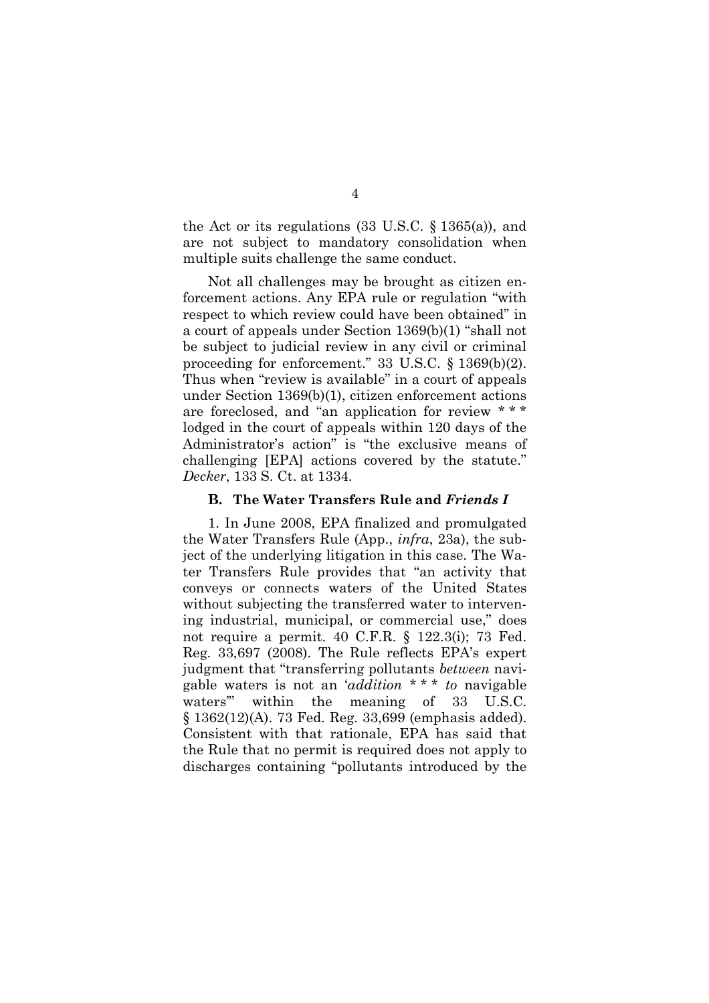the Act or its regulations (33 U.S.C. § 1365(a)), and are not subject to mandatory consolidation when multiple suits challenge the same conduct.

Not all challenges may be brought as citizen enforcement actions. Any EPA rule or regulation "with respect to which review could have been obtained" in a court of appeals under Section 1369(b)(1) "shall not be subject to judicial review in any civil or criminal proceeding for enforcement." 33 U.S.C. § 1369(b)(2). Thus when "review is available" in a court of appeals under Section 1369(b)(1), citizen enforcement actions are foreclosed, and "an application for review \* \* \* lodged in the court of appeals within 120 days of the Administrator's action" is "the exclusive means of challenging [EPA] actions covered by the statute." *Decker*, 133 S. Ct. at 1334.

#### **B. The Water Transfers Rule and** *Friends I*

1. In June 2008, EPA finalized and promulgated the Water Transfers Rule (App., *infra*, 23a), the subject of the underlying litigation in this case. The Water Transfers Rule provides that "an activity that conveys or connects waters of the United States without subjecting the transferred water to intervening industrial, municipal, or commercial use," does not require a permit. 40 C.F.R. § 122.3(i); 73 Fed. Reg. 33,697 (2008). The Rule reflects EPA's expert judgment that "transferring pollutants *between* navigable waters is not an '*addition* \* \* \* *to* navigable waters'" within the meaning of 33 U.S.C. § 1362(12)(A). 73 Fed. Reg. 33,699 (emphasis added). Consistent with that rationale, EPA has said that the Rule that no permit is required does not apply to discharges containing "pollutants introduced by the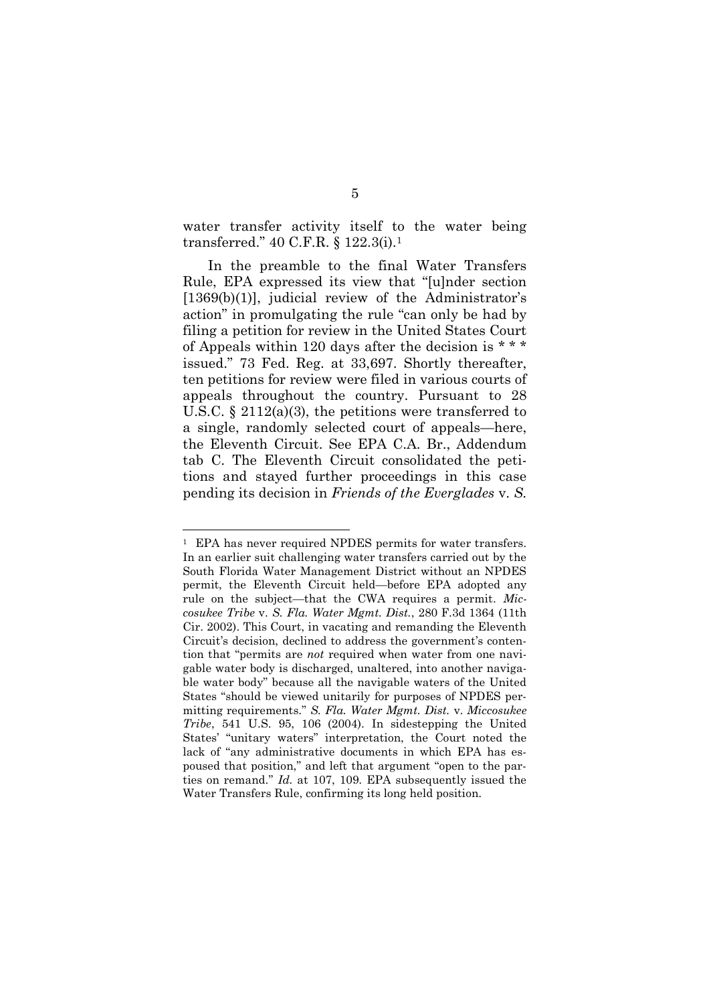water transfer activity itself to the water being transferred." 40 C.F.R. § 122.3(i).<sup>1</sup>

In the preamble to the final Water Transfers Rule, EPA expressed its view that "[u]nder section [1369(b)(1)], judicial review of the Administrator's action" in promulgating the rule "can only be had by filing a petition for review in the United States Court of Appeals within 120 days after the decision is \* \* \* issued." 73 Fed. Reg. at 33,697. Shortly thereafter, ten petitions for review were filed in various courts of appeals throughout the country. Pursuant to 28 U.S.C. § 2112(a)(3), the petitions were transferred to a single, randomly selected court of appeals—here, the Eleventh Circuit. See EPA C.A. Br., Addendum tab C. The Eleventh Circuit consolidated the petitions and stayed further proceedings in this case pending its decision in *Friends of the Everglades* v. *S.*

<sup>1</sup> EPA has never required NPDES permits for water transfers. In an earlier suit challenging water transfers carried out by the South Florida Water Management District without an NPDES permit, the Eleventh Circuit held—before EPA adopted any rule on the subject—that the CWA requires a permit. *Miccosukee Tribe* v. *S. Fla. Water Mgmt. Dist.*, 280 F.3d 1364 (11th Cir. 2002). This Court, in vacating and remanding the Eleventh Circuit's decision, declined to address the government's contention that "permits are *not* required when water from one navigable water body is discharged, unaltered, into another navigable water body" because all the navigable waters of the United States "should be viewed unitarily for purposes of NPDES permitting requirements." *S. Fla. Water Mgmt. Dist.* v. *Miccosukee Tribe*, 541 U.S. 95, 106 (2004). In sidestepping the United States' "unitary waters" interpretation, the Court noted the lack of "any administrative documents in which EPA has espoused that position," and left that argument "open to the parties on remand." *Id.* at 107, 109. EPA subsequently issued the Water Transfers Rule, confirming its long held position.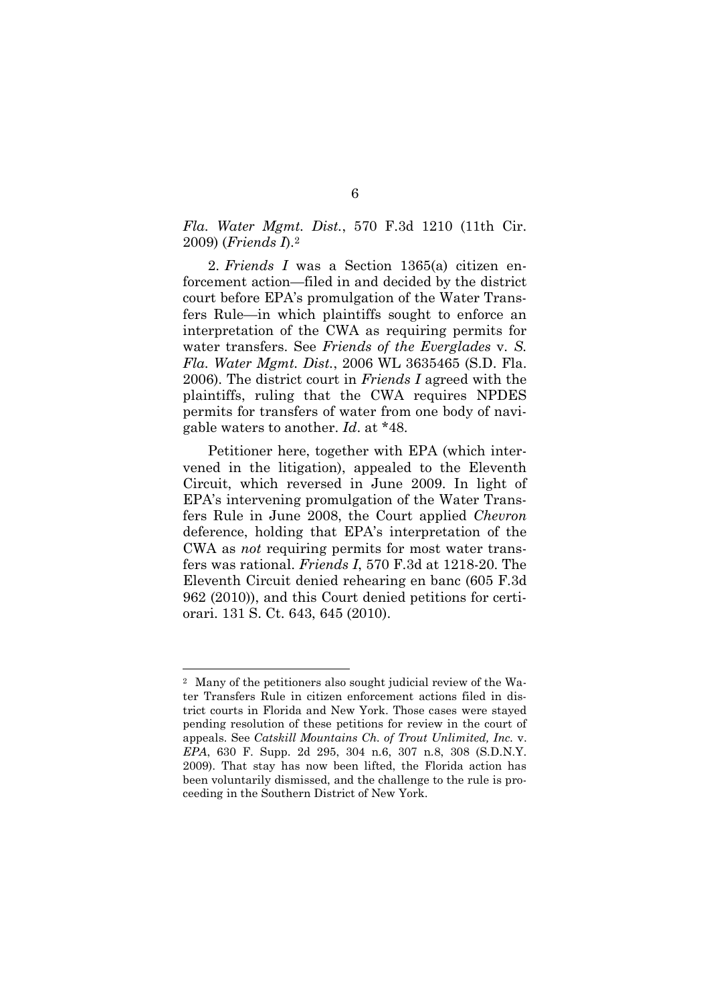### *Fla. Water Mgmt. Dist.*, 570 F.3d 1210 (11th Cir. 2009) (*Friends I*).<sup>2</sup>

2. *Friends I* was a Section 1365(a) citizen enforcement action—filed in and decided by the district court before EPA's promulgation of the Water Transfers Rule—in which plaintiffs sought to enforce an interpretation of the CWA as requiring permits for water transfers. See *Friends of the Everglades* v. *S. Fla. Water Mgmt. Dist.*, 2006 WL 3635465 (S.D. Fla. 2006). The district court in *Friends I* agreed with the plaintiffs, ruling that the CWA requires NPDES permits for transfers of water from one body of navigable waters to another. *Id*. at \*48.

Petitioner here, together with EPA (which intervened in the litigation), appealed to the Eleventh Circuit, which reversed in June 2009. In light of EPA's intervening promulgation of the Water Transfers Rule in June 2008, the Court applied *Chevron* deference, holding that EPA's interpretation of the CWA as *not* requiring permits for most water transfers was rational. *Friends I*, 570 F.3d at 1218-20. The Eleventh Circuit denied rehearing en banc (605 F.3d 962 (2010)), and this Court denied petitions for certiorari. 131 S. Ct. 643, 645 (2010).

<sup>2</sup> Many of the petitioners also sought judicial review of the Water Transfers Rule in citizen enforcement actions filed in district courts in Florida and New York. Those cases were stayed pending resolution of these petitions for review in the court of appeals. See *Catskill Mountains Ch. of Trout Unlimited, Inc.* v. *EPA*, 630 F. Supp. 2d 295, 304 n.6, 307 n.8, 308 (S.D.N.Y. 2009). That stay has now been lifted, the Florida action has been voluntarily dismissed, and the challenge to the rule is proceeding in the Southern District of New York.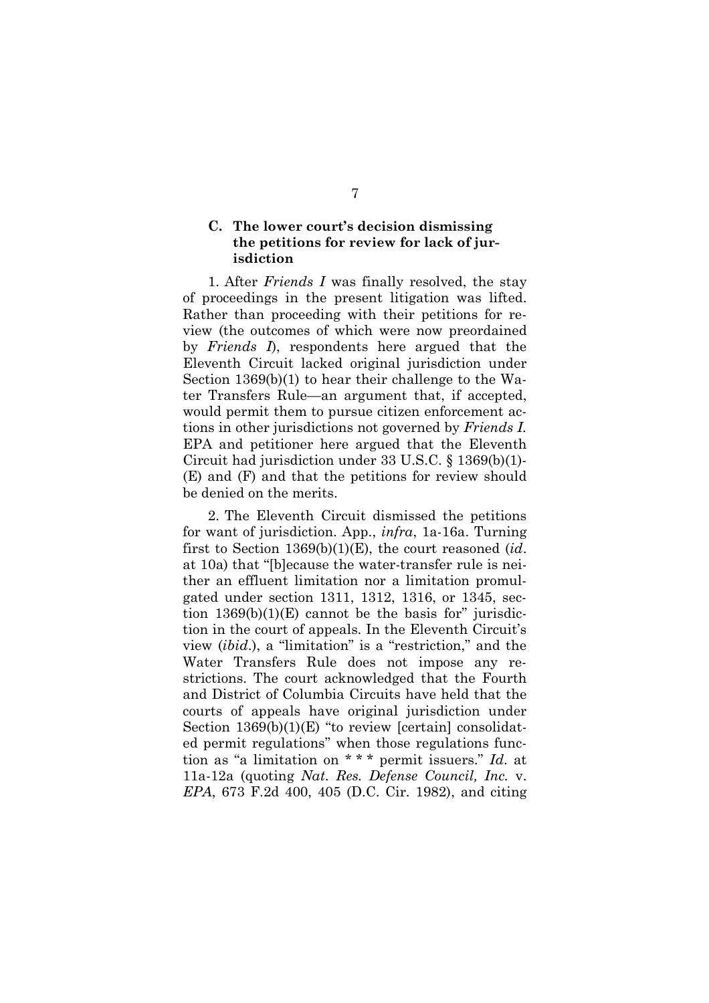## **C. The lower court's decision dismissing the petitions for review for lack of jurisdiction**

1. After *Friends I* was finally resolved, the stay of proceedings in the present litigation was lifted. Rather than proceeding with their petitions for review (the outcomes of which were now preordained by *Friends I*), respondents here argued that the Eleventh Circuit lacked original jurisdiction under Section 1369(b)(1) to hear their challenge to the Water Transfers Rule—an argument that, if accepted, would permit them to pursue citizen enforcement actions in other jurisdictions not governed by *Friends I.* EPA and petitioner here argued that the Eleventh Circuit had jurisdiction under 33 U.S.C. § 1369(b)(1)- (E) and (F) and that the petitions for review should be denied on the merits.

2. The Eleventh Circuit dismissed the petitions for want of jurisdiction. App., *infra*, 1a-16a. Turning first to Section 1369(b)(1)(E), the court reasoned (*id*. at 10a) that "[b]ecause the water-transfer rule is neither an effluent limitation nor a limitation promulgated under section 1311, 1312, 1316, or 1345, section  $1369(b)(1)(E)$  cannot be the basis for" jurisdiction in the court of appeals. In the Eleventh Circuit's view (*ibid*.), a "limitation" is a "restriction," and the Water Transfers Rule does not impose any restrictions. The court acknowledged that the Fourth and District of Columbia Circuits have held that the courts of appeals have original jurisdiction under Section  $1369(b)(1)(E)$  "to review [certain] consolidated permit regulations" when those regulations function as "a limitation on \* \* \* permit issuers." *Id*. at 11a-12a (quoting *Nat. Res. Defense Council, Inc.* v. *EPA*, 673 F.2d 400, 405 (D.C. Cir. 1982), and citing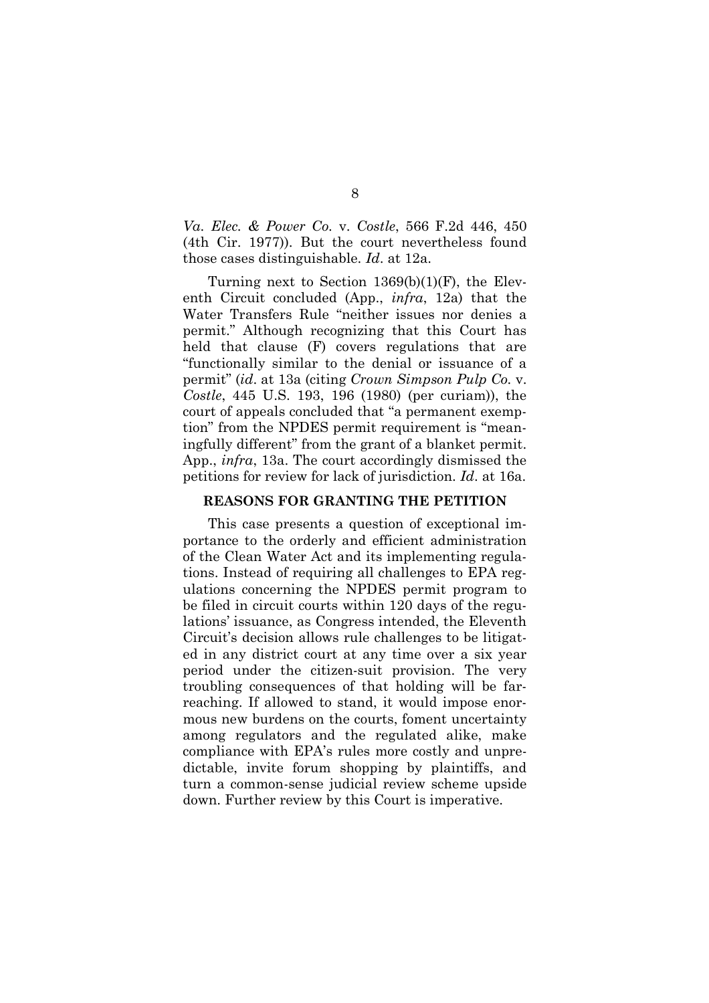*Va. Elec. & Power Co.* v. *Costle*, 566 F.2d 446, 450 (4th Cir. 1977)). But the court nevertheless found those cases distinguishable. *Id*. at 12a.

Turning next to Section 1369(b)(1)(F), the Eleventh Circuit concluded (App., *infra*, 12a) that the Water Transfers Rule "neither issues nor denies a permit." Although recognizing that this Court has held that clause (F) covers regulations that are "functionally similar to the denial or issuance of a permit" (*id*. at 13a (citing *Crown Simpson Pulp Co.* v. *Costle*, 445 U.S. 193, 196 (1980) (per curiam)), the court of appeals concluded that "a permanent exemption" from the NPDES permit requirement is "meaningfully different" from the grant of a blanket permit. App., *infra*, 13a. The court accordingly dismissed the petitions for review for lack of jurisdiction. *Id*. at 16a.

#### **REASONS FOR GRANTING THE PETITION**

This case presents a question of exceptional importance to the orderly and efficient administration of the Clean Water Act and its implementing regulations. Instead of requiring all challenges to EPA regulations concerning the NPDES permit program to be filed in circuit courts within 120 days of the regulations' issuance, as Congress intended, the Eleventh Circuit's decision allows rule challenges to be litigated in any district court at any time over a six year period under the citizen-suit provision. The very troubling consequences of that holding will be farreaching. If allowed to stand, it would impose enormous new burdens on the courts, foment uncertainty among regulators and the regulated alike, make compliance with EPA's rules more costly and unpredictable, invite forum shopping by plaintiffs, and turn a common-sense judicial review scheme upside down. Further review by this Court is imperative.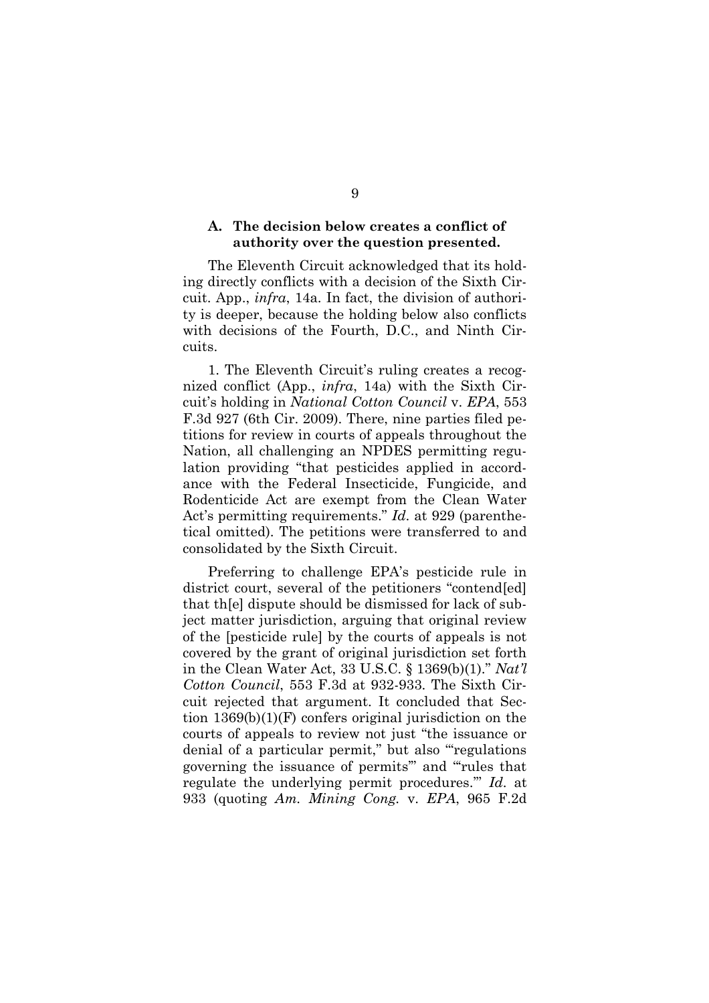### **A. The decision below creates a conflict of authority over the question presented.**

The Eleventh Circuit acknowledged that its holding directly conflicts with a decision of the Sixth Circuit. App., *infra*, 14a. In fact, the division of authority is deeper, because the holding below also conflicts with decisions of the Fourth, D.C., and Ninth Circuits.

1. The Eleventh Circuit's ruling creates a recognized conflict (App., *infra*, 14a) with the Sixth Circuit's holding in *National Cotton Council* v. *EPA*, 553 F.3d 927 (6th Cir. 2009). There, nine parties filed petitions for review in courts of appeals throughout the Nation, all challenging an NPDES permitting regulation providing "that pesticides applied in accordance with the Federal Insecticide, Fungicide, and Rodenticide Act are exempt from the Clean Water Act's permitting requirements." *Id*. at 929 (parenthetical omitted). The petitions were transferred to and consolidated by the Sixth Circuit.

Preferring to challenge EPA's pesticide rule in district court, several of the petitioners "contend[ed] that th[e] dispute should be dismissed for lack of subject matter jurisdiction, arguing that original review of the [pesticide rule] by the courts of appeals is not covered by the grant of original jurisdiction set forth in the Clean Water Act, 33 U.S.C. § 1369(b)(1)." *Nat'l Cotton Council*, 553 F.3d at 932-933. The Sixth Circuit rejected that argument. It concluded that Section 1369(b)(1)(F) confers original jurisdiction on the courts of appeals to review not just "the issuance or denial of a particular permit," but also "regulations governing the issuance of permits'" and "'rules that regulate the underlying permit procedures.'" *Id.* at 933 (quoting *Am. Mining Cong.* v. *EPA*, 965 F.2d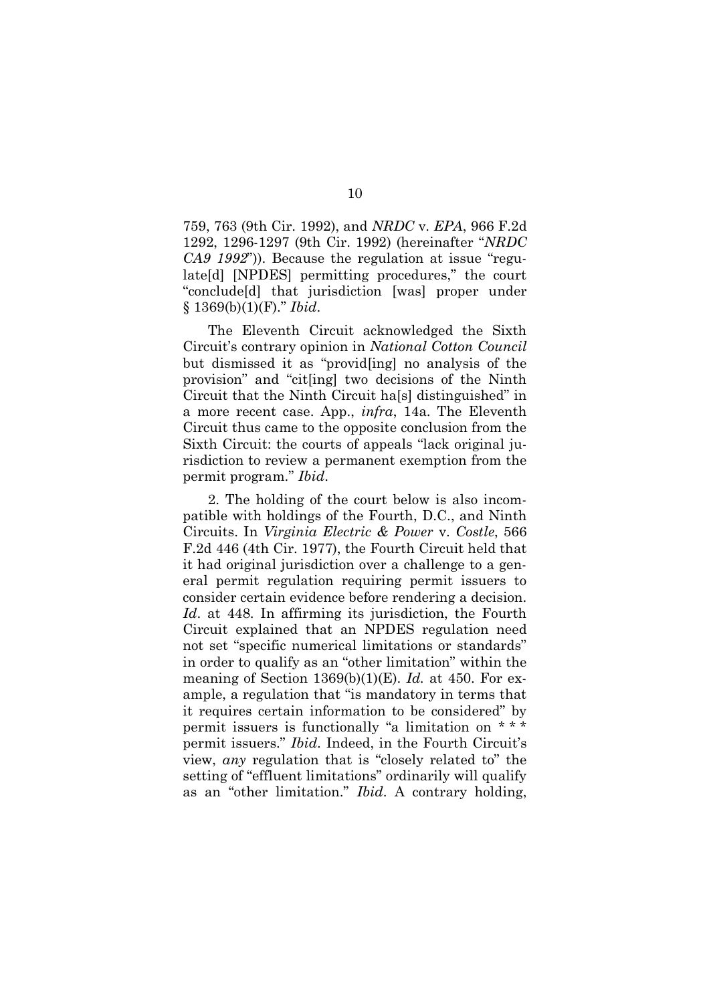759, 763 (9th Cir. 1992), and *NRDC* v. *EPA*, 966 F.2d 1292, 1296-1297 (9th Cir. 1992) (hereinafter "*NRDC CA9 1992*")). Because the regulation at issue "regulate[d] [NPDES] permitting procedures," the court "conclude[d] that jurisdiction [was] proper under § 1369(b)(1)(F)." *Ibid*.

The Eleventh Circuit acknowledged the Sixth Circuit's contrary opinion in *National Cotton Council* but dismissed it as "provid[ing] no analysis of the provision" and "cit[ing] two decisions of the Ninth Circuit that the Ninth Circuit ha[s] distinguished" in a more recent case. App., *infra*, 14a. The Eleventh Circuit thus came to the opposite conclusion from the Sixth Circuit: the courts of appeals "lack original jurisdiction to review a permanent exemption from the permit program." *Ibid*.

2. The holding of the court below is also incompatible with holdings of the Fourth, D.C., and Ninth Circuits. In *Virginia Electric & Power* v. *Costle*, 566 F.2d 446 (4th Cir. 1977), the Fourth Circuit held that it had original jurisdiction over a challenge to a general permit regulation requiring permit issuers to consider certain evidence before rendering a decision. *Id*. at 448. In affirming its jurisdiction, the Fourth Circuit explained that an NPDES regulation need not set "specific numerical limitations or standards" in order to qualify as an "other limitation" within the meaning of Section 1369(b)(1)(E). *Id.* at 450. For example, a regulation that "is mandatory in terms that it requires certain information to be considered" by permit issuers is functionally "a limitation on \* \* \* permit issuers." *Ibid*. Indeed, in the Fourth Circuit's view, *any* regulation that is "closely related to" the setting of "effluent limitations" ordinarily will qualify as an "other limitation." *Ibid*. A contrary holding,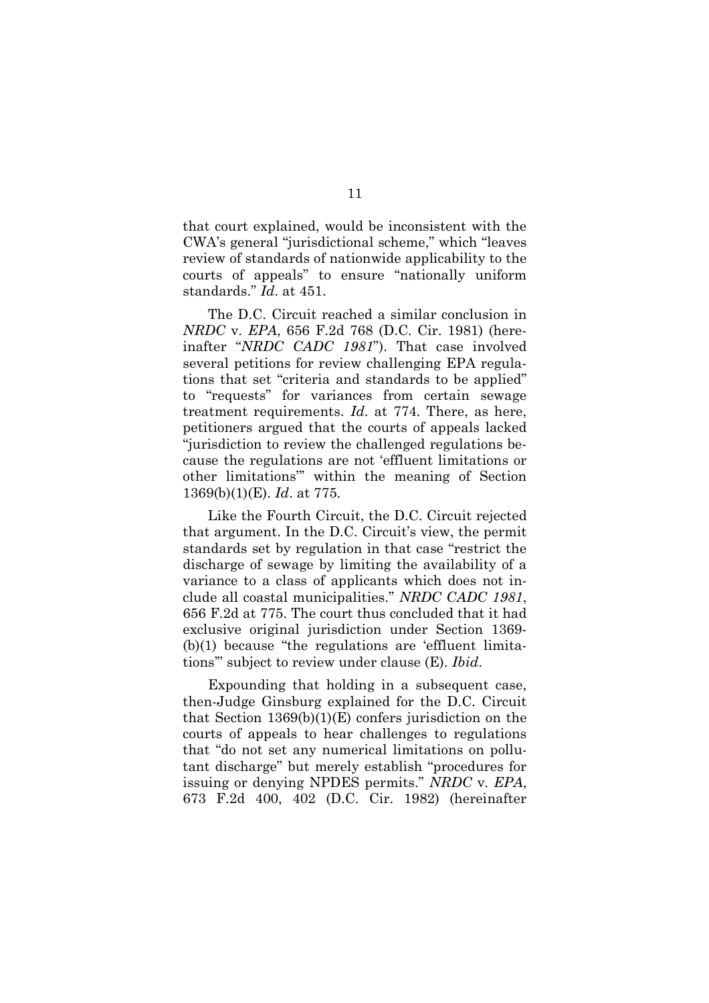that court explained, would be inconsistent with the CWA's general "jurisdictional scheme," which "leaves review of standards of nationwide applicability to the courts of appeals" to ensure "nationally uniform standards." *Id*. at 451.

The D.C. Circuit reached a similar conclusion in *NRDC* v. *EPA*, 656 F.2d 768 (D.C. Cir. 1981) (hereinafter "*NRDC CADC 1981*"). That case involved several petitions for review challenging EPA regulations that set "criteria and standards to be applied" to "requests" for variances from certain sewage treatment requirements. *Id*. at 774. There, as here, petitioners argued that the courts of appeals lacked "jurisdiction to review the challenged regulations because the regulations are not 'effluent limitations or other limitations''' within the meaning of Section 1369(b)(1)(E). *Id*. at 775.

Like the Fourth Circuit, the D.C. Circuit rejected that argument. In the D.C. Circuit's view, the permit standards set by regulation in that case "restrict the discharge of sewage by limiting the availability of a variance to a class of applicants which does not include all coastal municipalities." *NRDC CADC 1981*, 656 F.2d at 775. The court thus concluded that it had exclusive original jurisdiction under Section 1369- (b)(1) because "the regulations are 'effluent limitations'" subject to review under clause (E). *Ibid*.

Expounding that holding in a subsequent case, then-Judge Ginsburg explained for the D.C. Circuit that Section  $1369(b)(1)(E)$  confers jurisdiction on the courts of appeals to hear challenges to regulations that "do not set any numerical limitations on pollutant discharge" but merely establish "procedures for issuing or denying NPDES permits." *NRDC* v. *EPA*, 673 F.2d 400, 402 (D.C. Cir. 1982) (hereinafter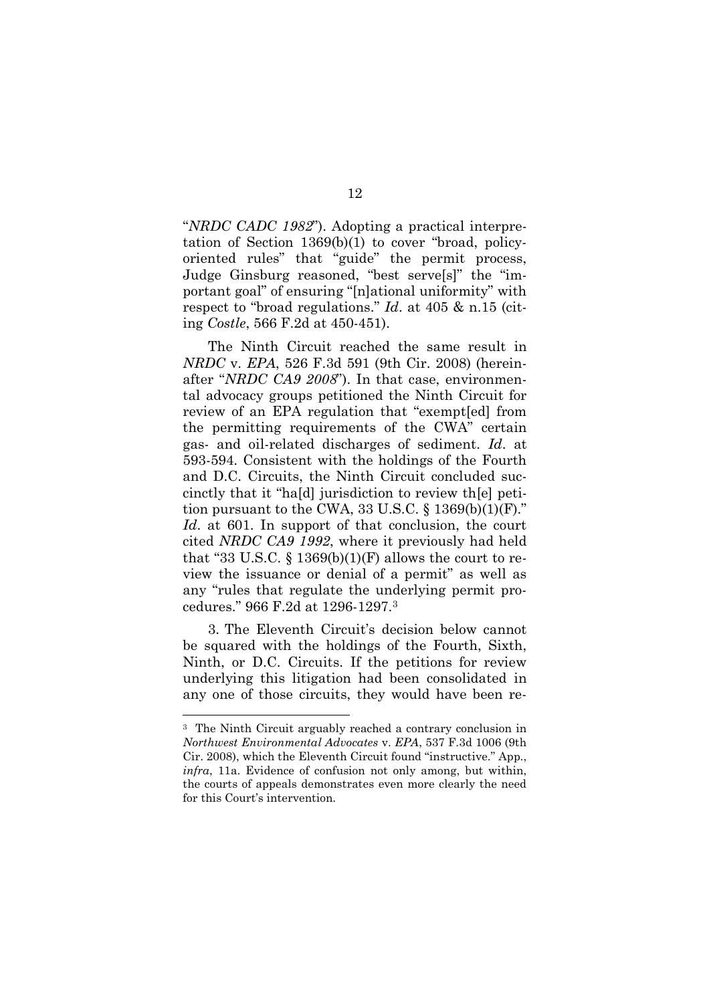"*NRDC CADC 1982*"). Adopting a practical interpretation of Section 1369(b)(1) to cover "broad, policyoriented rules" that "guide" the permit process, Judge Ginsburg reasoned, "best serve[s]" the "important goal" of ensuring "[n]ational uniformity" with respect to "broad regulations." *Id*. at 405 & n.15 (citing *Costle*, 566 F.2d at 450-451).

The Ninth Circuit reached the same result in *NRDC* v. *EPA*, 526 F.3d 591 (9th Cir. 2008) (hereinafter "*NRDC CA9 2008*"). In that case, environmental advocacy groups petitioned the Ninth Circuit for review of an EPA regulation that "exempt[ed] from the permitting requirements of the CWA" certain gas- and oil-related discharges of sediment. *Id*. at 593-594. Consistent with the holdings of the Fourth and D.C. Circuits, the Ninth Circuit concluded succinctly that it "ha[d] jurisdiction to review th[e] petition pursuant to the CWA,  $33 \text{ U.S.C.}$  §  $1369(b)(1)(F)$ ." *Id*. at 601. In support of that conclusion, the court cited *NRDC CA9 1992*, where it previously had held that "33 U.S.C.  $\S$  1369(b)(1)(F) allows the court to review the issuance or denial of a permit" as well as any "rules that regulate the underlying permit procedures." 966 F.2d at 1296-1297.<sup>3</sup>

3. The Eleventh Circuit's decision below cannot be squared with the holdings of the Fourth, Sixth, Ninth, or D.C. Circuits. If the petitions for review underlying this litigation had been consolidated in any one of those circuits, they would have been re-

<sup>3</sup> The Ninth Circuit arguably reached a contrary conclusion in *Northwest Environmental Advocates* v. *EPA*, 537 F.3d 1006 (9th Cir. 2008), which the Eleventh Circuit found "instructive." App., *infra*, 11a. Evidence of confusion not only among, but within, the courts of appeals demonstrates even more clearly the need for this Court's intervention.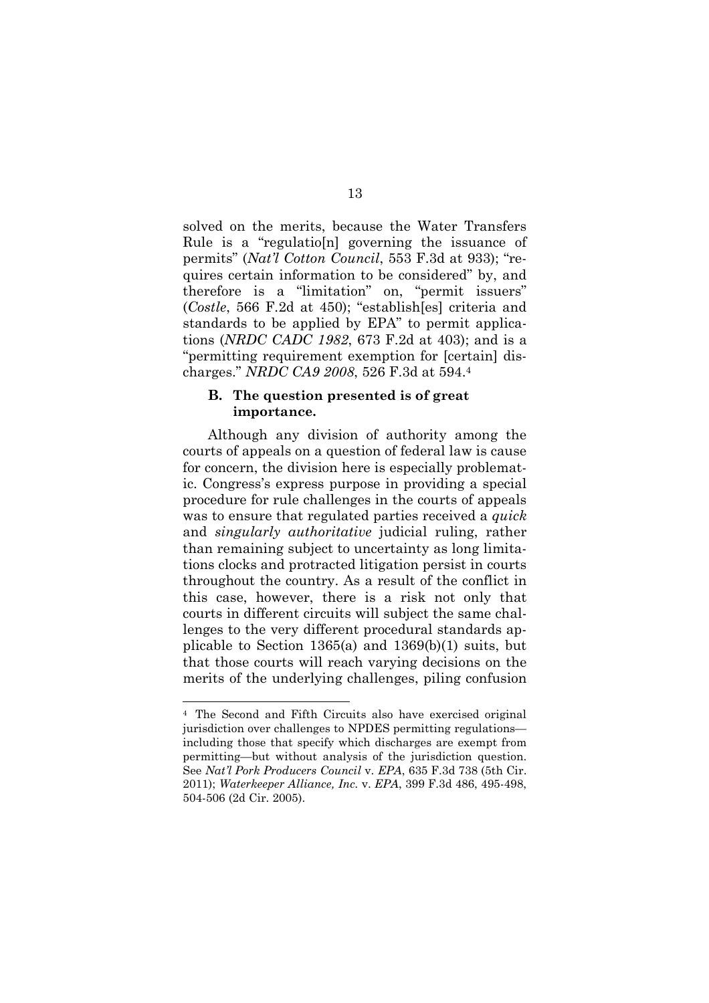solved on the merits, because the Water Transfers Rule is a "regulatio[n] governing the issuance of permits" (*Nat'l Cotton Council*, 553 F.3d at 933); "requires certain information to be considered" by, and therefore is a "limitation" on, "permit issuers" (*Costle*, 566 F.2d at 450); "establish[es] criteria and standards to be applied by EPA" to permit applications (*NRDC CADC 1982*, 673 F.2d at 403); and is a "permitting requirement exemption for [certain] discharges." *NRDC CA9 2008*, 526 F.3d at 594.<sup>4</sup>

#### **B. The question presented is of great importance.**

Although any division of authority among the courts of appeals on a question of federal law is cause for concern, the division here is especially problematic. Congress's express purpose in providing a special procedure for rule challenges in the courts of appeals was to ensure that regulated parties received a *quick* and *singularly authoritative* judicial ruling, rather than remaining subject to uncertainty as long limitations clocks and protracted litigation persist in courts throughout the country. As a result of the conflict in this case, however, there is a risk not only that courts in different circuits will subject the same challenges to the very different procedural standards applicable to Section 1365(a) and 1369(b)(1) suits, but that those courts will reach varying decisions on the merits of the underlying challenges, piling confusion

<sup>4</sup> The Second and Fifth Circuits also have exercised original jurisdiction over challenges to NPDES permitting regulations including those that specify which discharges are exempt from permitting—but without analysis of the jurisdiction question. See *Nat'l Pork Producers Council* v. *EPA*, 635 F.3d 738 (5th Cir. 2011); *Waterkeeper Alliance, Inc.* v. *EPA*, 399 F.3d 486, 495-498, 504-506 (2d Cir. 2005).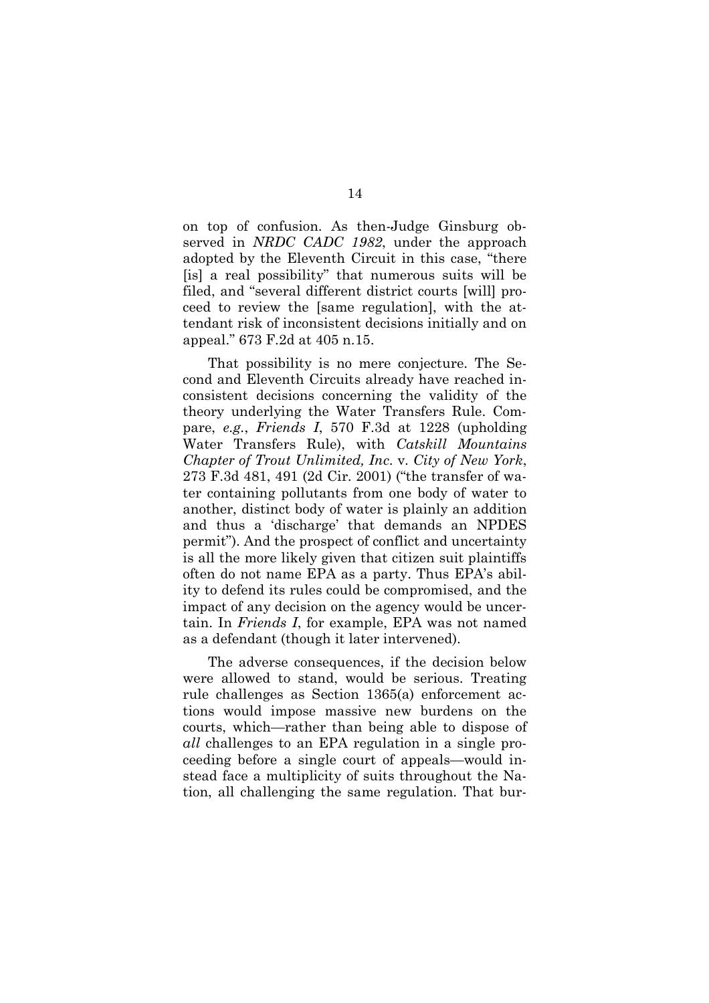on top of confusion. As then-Judge Ginsburg observed in *NRDC CADC 1982*, under the approach adopted by the Eleventh Circuit in this case, "there [is] a real possibility" that numerous suits will be filed, and "several different district courts [will] proceed to review the [same regulation], with the attendant risk of inconsistent decisions initially and on appeal." 673 F.2d at 405 n.15.

That possibility is no mere conjecture. The Second and Eleventh Circuits already have reached inconsistent decisions concerning the validity of the theory underlying the Water Transfers Rule. Compare, *e.g.*, *Friends I*, 570 F.3d at 1228 (upholding Water Transfers Rule), with *Catskill Mountains Chapter of Trout Unlimited, Inc*. v. *City of New York*, 273 F.3d 481, 491 (2d Cir. 2001) ("the transfer of water containing pollutants from one body of water to another, distinct body of water is plainly an addition and thus a 'discharge' that demands an NPDES permit"). And the prospect of conflict and uncertainty is all the more likely given that citizen suit plaintiffs often do not name EPA as a party. Thus EPA's ability to defend its rules could be compromised, and the impact of any decision on the agency would be uncertain. In *Friends I*, for example, EPA was not named as a defendant (though it later intervened).

The adverse consequences, if the decision below were allowed to stand, would be serious. Treating rule challenges as Section 1365(a) enforcement actions would impose massive new burdens on the courts, which—rather than being able to dispose of *all* challenges to an EPA regulation in a single proceeding before a single court of appeals—would instead face a multiplicity of suits throughout the Nation, all challenging the same regulation. That bur-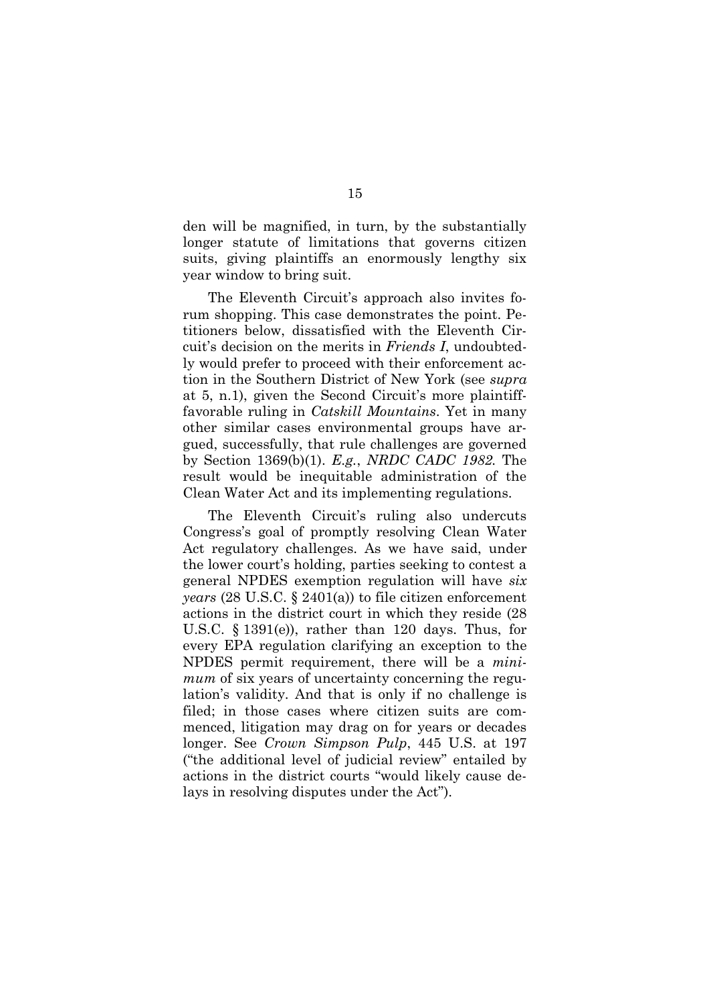den will be magnified, in turn, by the substantially longer statute of limitations that governs citizen suits, giving plaintiffs an enormously lengthy six year window to bring suit.

The Eleventh Circuit's approach also invites forum shopping. This case demonstrates the point. Petitioners below, dissatisfied with the Eleventh Circuit's decision on the merits in *Friends I*, undoubtedly would prefer to proceed with their enforcement action in the Southern District of New York (see *supra* at 5, n.1), given the Second Circuit's more plaintifffavorable ruling in *Catskill Mountains*. Yet in many other similar cases environmental groups have argued, successfully, that rule challenges are governed by Section 1369(b)(1). *E.g.*, *NRDC CADC 1982.* The result would be inequitable administration of the Clean Water Act and its implementing regulations.

The Eleventh Circuit's ruling also undercuts Congress's goal of promptly resolving Clean Water Act regulatory challenges. As we have said, under the lower court's holding, parties seeking to contest a general NPDES exemption regulation will have *six years* (28 U.S.C. § 2401(a)) to file citizen enforcement actions in the district court in which they reside (28 U.S.C. § 1391(e)), rather than 120 days. Thus, for every EPA regulation clarifying an exception to the NPDES permit requirement, there will be a *minimum* of six years of uncertainty concerning the regulation's validity. And that is only if no challenge is filed; in those cases where citizen suits are commenced, litigation may drag on for years or decades longer. See *Crown Simpson Pulp*, 445 U.S. at 197 ("the additional level of judicial review" entailed by actions in the district courts "would likely cause delays in resolving disputes under the Act").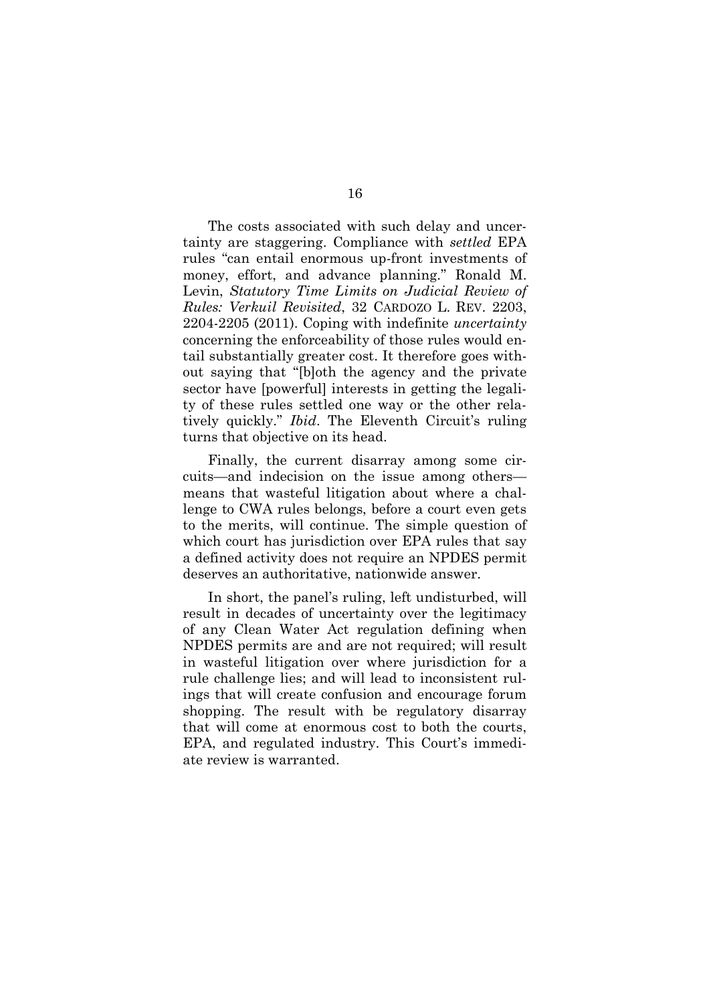The costs associated with such delay and uncertainty are staggering. Compliance with *settled* EPA rules "can entail enormous up-front investments of money, effort, and advance planning." Ronald M. Levin, *Statutory Time Limits on Judicial Review of Rules: Verkuil Revisited*, 32 CARDOZO L. REV. 2203, 2204-2205 (2011). Coping with indefinite *uncertainty* concerning the enforceability of those rules would entail substantially greater cost. It therefore goes without saying that "[b]oth the agency and the private sector have [powerful] interests in getting the legality of these rules settled one way or the other relatively quickly." *Ibid*. The Eleventh Circuit's ruling turns that objective on its head.

Finally, the current disarray among some circuits—and indecision on the issue among others means that wasteful litigation about where a challenge to CWA rules belongs, before a court even gets to the merits, will continue. The simple question of which court has jurisdiction over EPA rules that say a defined activity does not require an NPDES permit deserves an authoritative, nationwide answer.

In short, the panel's ruling, left undisturbed, will result in decades of uncertainty over the legitimacy of any Clean Water Act regulation defining when NPDES permits are and are not required; will result in wasteful litigation over where jurisdiction for a rule challenge lies; and will lead to inconsistent rulings that will create confusion and encourage forum shopping. The result with be regulatory disarray that will come at enormous cost to both the courts, EPA, and regulated industry. This Court's immediate review is warranted.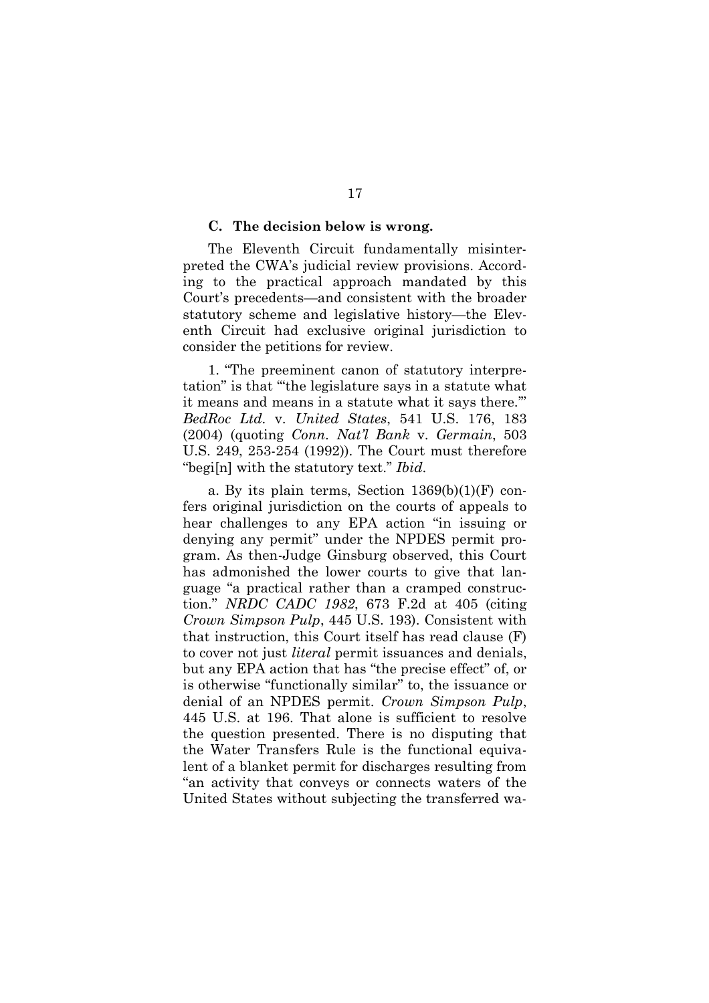#### **C. The decision below is wrong.**

The Eleventh Circuit fundamentally misinterpreted the CWA's judicial review provisions. According to the practical approach mandated by this Court's precedents—and consistent with the broader statutory scheme and legislative history—the Eleventh Circuit had exclusive original jurisdiction to consider the petitions for review.

1. "The preeminent canon of statutory interpretation" is that "'the legislature says in a statute what it means and means in a statute what it says there.'" *BedRoc Ltd.* v. *United States*, 541 U.S. 176, 183 (2004) (quoting *Conn. Nat'l Bank* v. *Germain*, 503 U.S. 249, 253-254 (1992)). The Court must therefore "begi[n] with the statutory text." *Ibid*.

a. By its plain terms, Section 1369(b)(1)(F) confers original jurisdiction on the courts of appeals to hear challenges to any EPA action "in issuing or denying any permit" under the NPDES permit program. As then-Judge Ginsburg observed, this Court has admonished the lower courts to give that language "a practical rather than a cramped construction." *NRDC CADC 1982*, 673 F.2d at 405 (citing *Crown Simpson Pulp*, 445 U.S. 193). Consistent with that instruction, this Court itself has read clause (F) to cover not just *literal* permit issuances and denials, but any EPA action that has "the precise effect" of, or is otherwise "functionally similar" to, the issuance or denial of an NPDES permit. *Crown Simpson Pulp*, 445 U.S. at 196. That alone is sufficient to resolve the question presented. There is no disputing that the Water Transfers Rule is the functional equivalent of a blanket permit for discharges resulting from "an activity that conveys or connects waters of the United States without subjecting the transferred wa-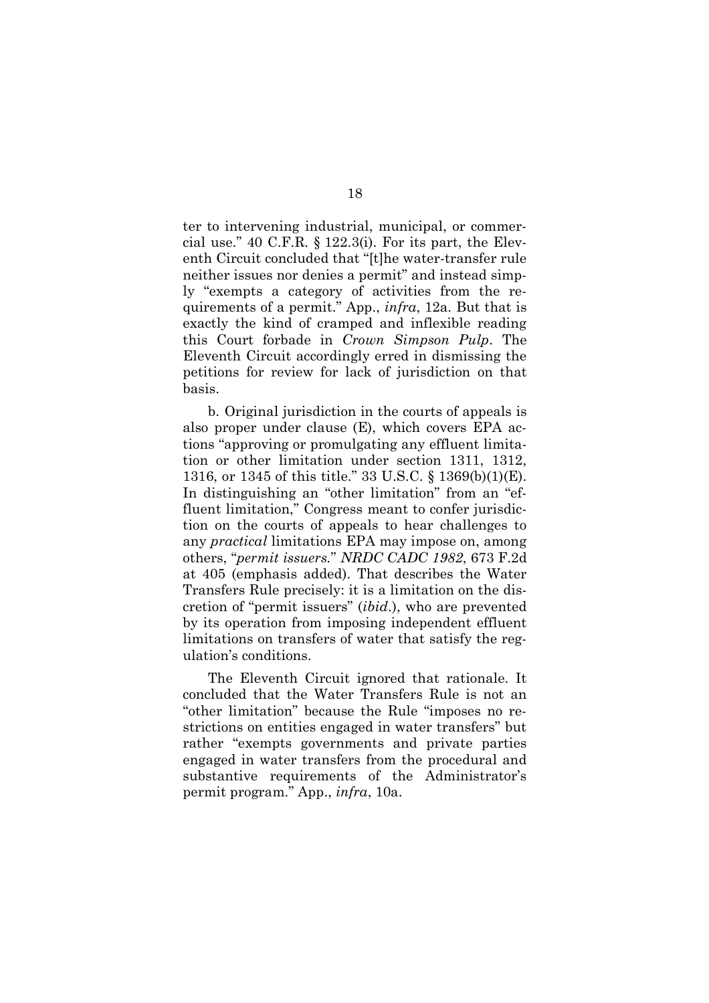ter to intervening industrial, municipal, or commercial use." 40 C.F.R. § 122.3(i). For its part, the Eleventh Circuit concluded that "[t]he water-transfer rule neither issues nor denies a permit" and instead simply "exempts a category of activities from the requirements of a permit." App., *infra*, 12a. But that is exactly the kind of cramped and inflexible reading this Court forbade in *Crown Simpson Pulp*. The Eleventh Circuit accordingly erred in dismissing the petitions for review for lack of jurisdiction on that basis.

b. Original jurisdiction in the courts of appeals is also proper under clause (E), which covers EPA actions "approving or promulgating any effluent limitation or other limitation under section 1311, 1312, 1316, or 1345 of this title." 33 U.S.C. § 1369(b)(1)(E). In distinguishing an "other limitation" from an "effluent limitation," Congress meant to confer jurisdiction on the courts of appeals to hear challenges to any *practical* limitations EPA may impose on, among others, "*permit issuers.*" *NRDC CADC 1982*, 673 F.2d at 405 (emphasis added). That describes the Water Transfers Rule precisely: it is a limitation on the discretion of "permit issuers" (*ibid*.), who are prevented by its operation from imposing independent effluent limitations on transfers of water that satisfy the regulation's conditions.

The Eleventh Circuit ignored that rationale. It concluded that the Water Transfers Rule is not an "other limitation" because the Rule "imposes no restrictions on entities engaged in water transfers" but rather "exempts governments and private parties engaged in water transfers from the procedural and substantive requirements of the Administrator's permit program." App., *infra*, 10a.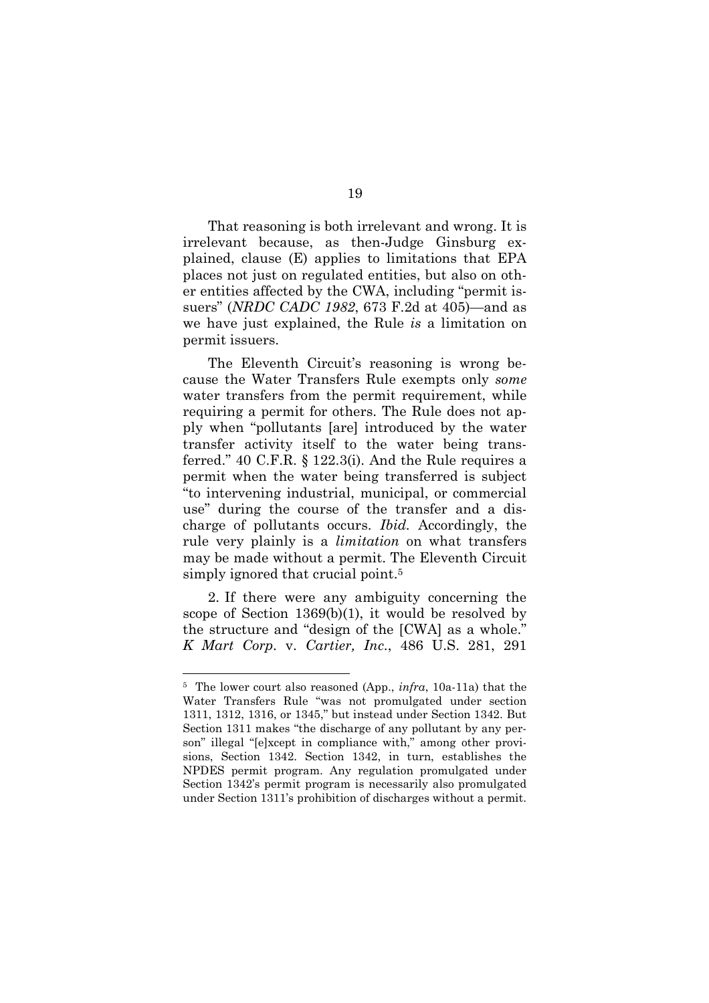That reasoning is both irrelevant and wrong. It is irrelevant because, as then-Judge Ginsburg explained, clause (E) applies to limitations that EPA places not just on regulated entities, but also on other entities affected by the CWA, including "permit issuers" (*NRDC CADC 1982*, 673 F.2d at 405)—and as we have just explained, the Rule *is* a limitation on permit issuers.

The Eleventh Circuit's reasoning is wrong because the Water Transfers Rule exempts only *some* water transfers from the permit requirement, while requiring a permit for others. The Rule does not apply when "pollutants [are] introduced by the water transfer activity itself to the water being transferred." 40 C.F.R. § 122.3(i). And the Rule requires a permit when the water being transferred is subject "to intervening industrial, municipal, or commercial use" during the course of the transfer and a discharge of pollutants occurs. *Ibid.* Accordingly, the rule very plainly is a *limitation* on what transfers may be made without a permit. The Eleventh Circuit simply ignored that crucial point.<sup>5</sup>

2. If there were any ambiguity concerning the scope of Section 1369(b)(1), it would be resolved by the structure and "design of the [CWA] as a whole." *K Mart Corp.* v. *Cartier, Inc*., 486 U.S. 281, 291

<sup>5</sup> The lower court also reasoned (App., *infra*, 10a-11a) that the Water Transfers Rule "was not promulgated under section 1311, 1312, 1316, or 1345," but instead under Section 1342. But Section 1311 makes "the discharge of any pollutant by any person" illegal "[e]xcept in compliance with," among other provisions, Section 1342. Section 1342, in turn, establishes the NPDES permit program. Any regulation promulgated under Section 1342's permit program is necessarily also promulgated under Section 1311's prohibition of discharges without a permit.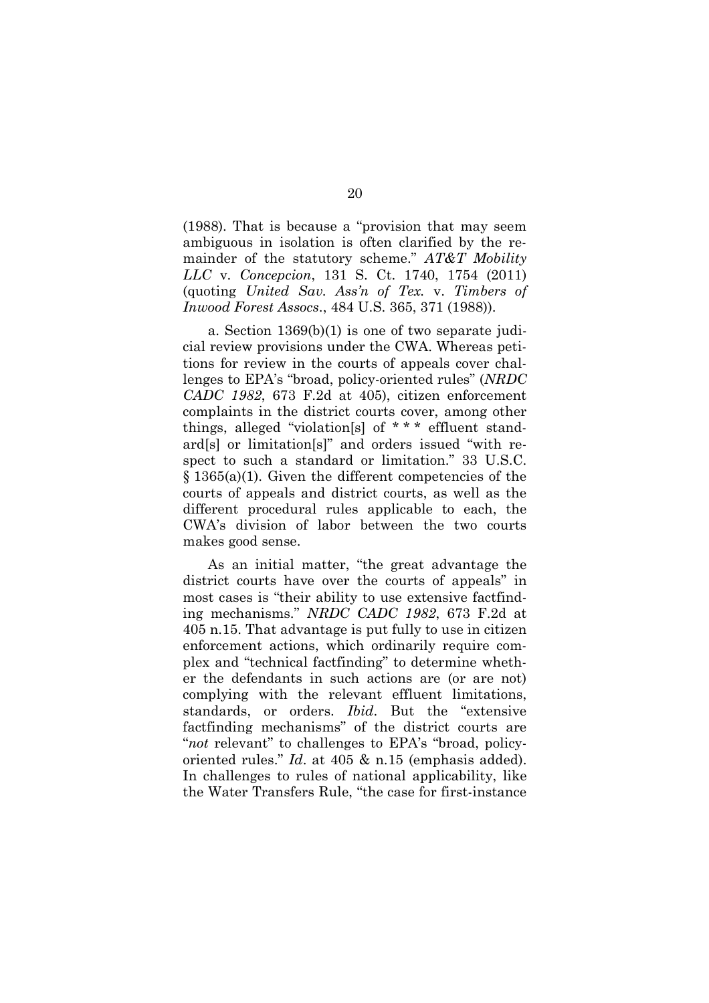(1988). That is because a "provision that may seem ambiguous in isolation is often clarified by the remainder of the statutory scheme." *AT&T Mobility LLC* v. *Concepcion*, 131 S. Ct. 1740, 1754 (2011) (quoting *United Sav. Ass'n of Tex.* v. *Timbers of Inwood Forest Assocs*., 484 U.S. 365, 371 (1988)).

a. Section 1369(b)(1) is one of two separate judicial review provisions under the CWA. Whereas petitions for review in the courts of appeals cover challenges to EPA's "broad, policy-oriented rules" (*NRDC CADC 1982*, 673 F.2d at 405), citizen enforcement complaints in the district courts cover, among other things, alleged "violation[s] of \* \* \* effluent standard[s] or limitation[s]" and orders issued "with respect to such a standard or limitation." 33 U.S.C. § 1365(a)(1). Given the different competencies of the courts of appeals and district courts, as well as the different procedural rules applicable to each, the CWA's division of labor between the two courts makes good sense.

As an initial matter, "the great advantage the district courts have over the courts of appeals" in most cases is "their ability to use extensive factfinding mechanisms." *NRDC CADC 1982*, 673 F.2d at 405 n.15. That advantage is put fully to use in citizen enforcement actions, which ordinarily require complex and "technical factfinding" to determine whether the defendants in such actions are (or are not) complying with the relevant effluent limitations, standards, or orders. *Ibid*. But the "extensive factfinding mechanisms" of the district courts are "*not* relevant" to challenges to EPA's "broad, policyoriented rules." *Id*. at 405 & n.15 (emphasis added). In challenges to rules of national applicability, like the Water Transfers Rule, "the case for first-instance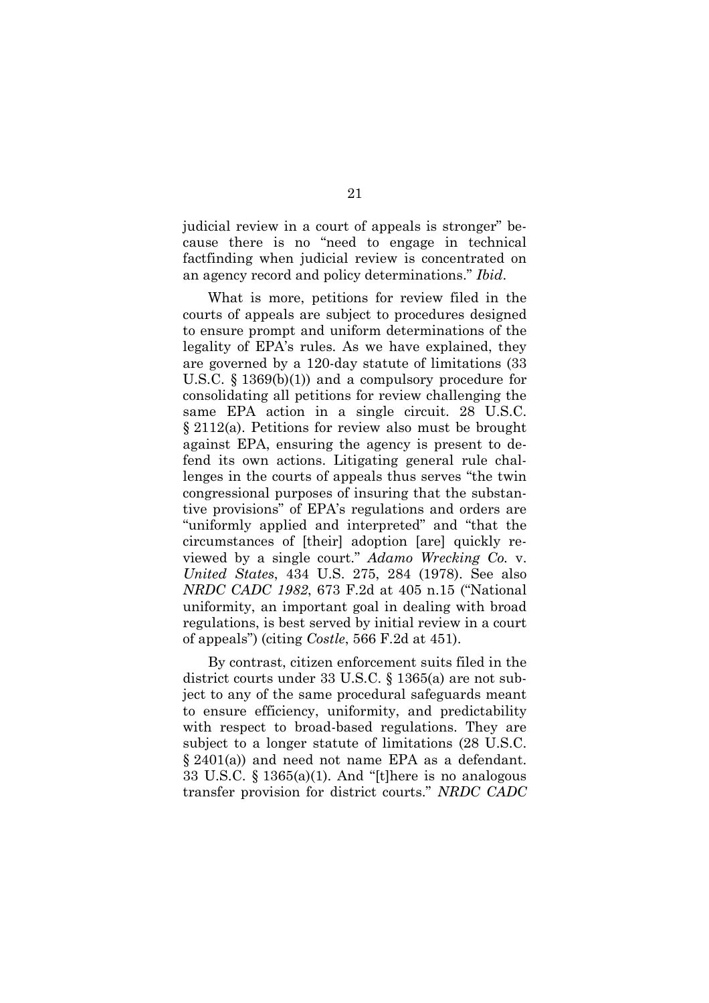judicial review in a court of appeals is stronger" because there is no "need to engage in technical factfinding when judicial review is concentrated on an agency record and policy determinations." *Ibid*.

What is more, petitions for review filed in the courts of appeals are subject to procedures designed to ensure prompt and uniform determinations of the legality of EPA's rules. As we have explained, they are governed by a 120-day statute of limitations (33 U.S.C. § 1369(b)(1)) and a compulsory procedure for consolidating all petitions for review challenging the same EPA action in a single circuit. 28 U.S.C. § 2112(a). Petitions for review also must be brought against EPA, ensuring the agency is present to defend its own actions. Litigating general rule challenges in the courts of appeals thus serves "the twin congressional purposes of insuring that the substantive provisions" of EPA's regulations and orders are "uniformly applied and interpreted" and "that the circumstances of [their] adoption [are] quickly reviewed by a single court." *Adamo Wrecking Co.* v. *United States*, 434 U.S. 275, 284 (1978). See also *NRDC CADC 1982*, 673 F.2d at 405 n.15 ("National uniformity, an important goal in dealing with broad regulations, is best served by initial review in a court of appeals") (citing *Costle*, 566 F.2d at 451).

By contrast, citizen enforcement suits filed in the district courts under 33 U.S.C. § 1365(a) are not subject to any of the same procedural safeguards meant to ensure efficiency, uniformity, and predictability with respect to broad-based regulations. They are subject to a longer statute of limitations (28 U.S.C. § 2401(a)) and need not name EPA as a defendant. 33 U.S.C.  $\S$  1365(a)(1). And "[t]here is no analogous transfer provision for district courts." *NRDC CADC*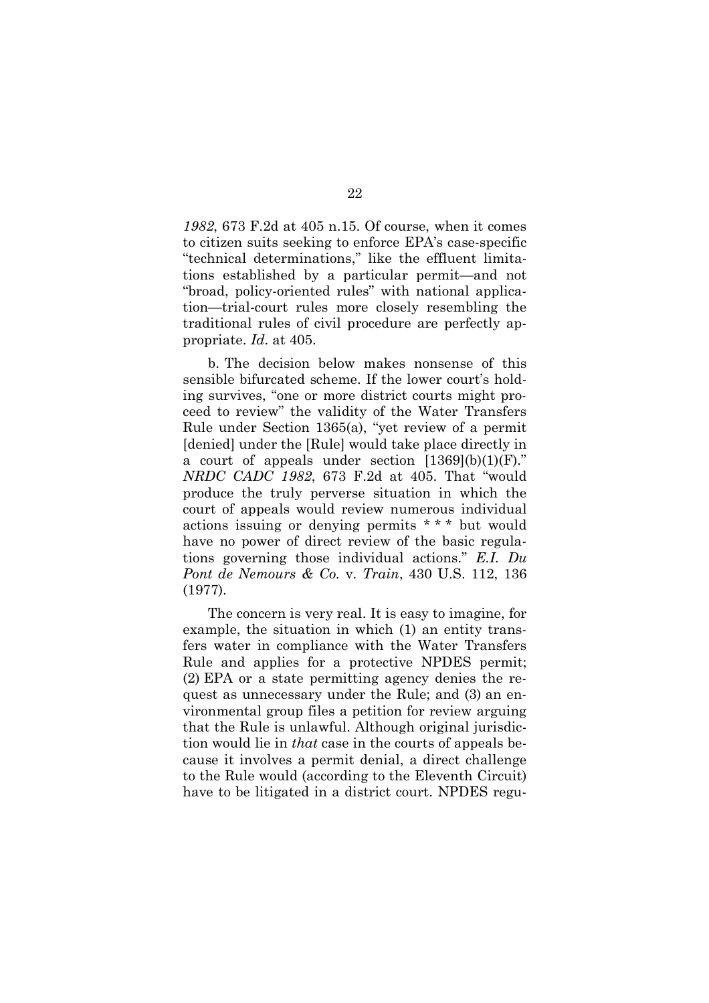*1982*, 673 F.2d at 405 n.15. Of course, when it comes to citizen suits seeking to enforce EPA's case-specific "technical determinations," like the effluent limitations established by a particular permit—and not "broad, policy-oriented rules" with national application—trial-court rules more closely resembling the traditional rules of civil procedure are perfectly appropriate. *Id*. at 405.

b. The decision below makes nonsense of this sensible bifurcated scheme. If the lower court's holding survives, "one or more district courts might proceed to review" the validity of the Water Transfers Rule under Section 1365(a), "yet review of a permit [denied] under the [Rule] would take place directly in a court of appeals under section  $[1369](b)(1)(F)$ ." *NRDC CADC 1982*, 673 F.2d at 405. That "would produce the truly perverse situation in which the court of appeals would review numerous individual actions issuing or denying permits \* \* \* but would have no power of direct review of the basic regulations governing those individual actions." *E.I. Du Pont de Nemours & Co.* v. *Train*, 430 U.S. 112, 136 (1977).

The concern is very real. It is easy to imagine, for example, the situation in which (1) an entity transfers water in compliance with the Water Transfers Rule and applies for a protective NPDES permit; (2) EPA or a state permitting agency denies the request as unnecessary under the Rule; and (3) an environmental group files a petition for review arguing that the Rule is unlawful. Although original jurisdiction would lie in *that* case in the courts of appeals because it involves a permit denial, a direct challenge to the Rule would (according to the Eleventh Circuit) have to be litigated in a district court. NPDES regu-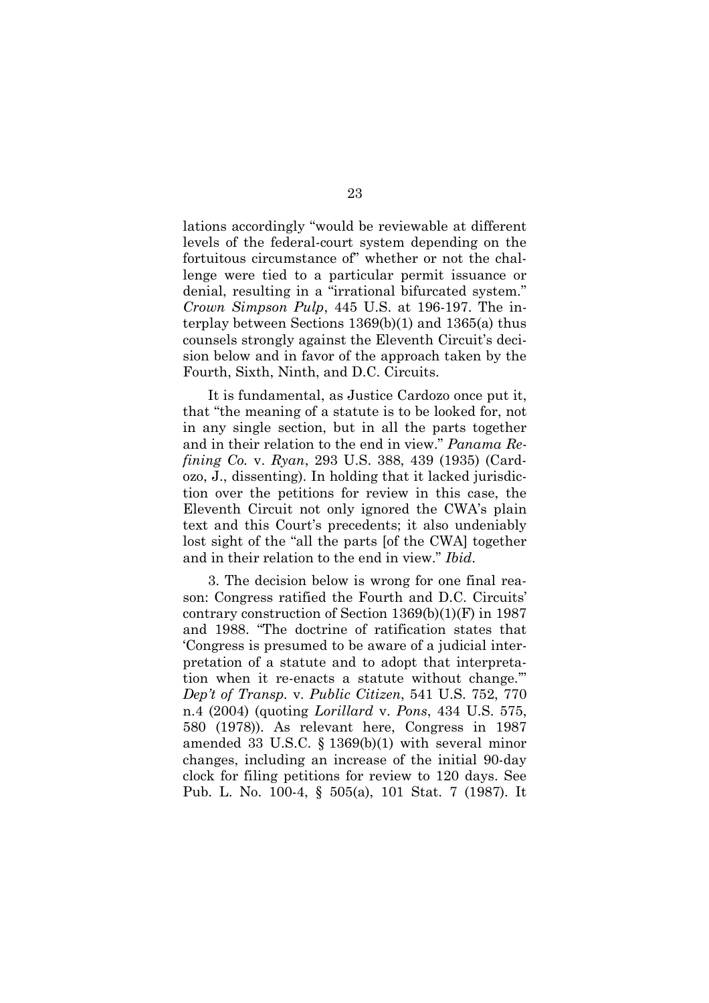lations accordingly "would be reviewable at different levels of the federal-court system depending on the fortuitous circumstance of" whether or not the challenge were tied to a particular permit issuance or denial, resulting in a "irrational bifurcated system." *Crown Simpson Pulp*, 445 U.S. at 196-197. The interplay between Sections 1369(b)(1) and 1365(a) thus counsels strongly against the Eleventh Circuit's decision below and in favor of the approach taken by the Fourth, Sixth, Ninth, and D.C. Circuits.

It is fundamental, as Justice Cardozo once put it, that "the meaning of a statute is to be looked for, not in any single section, but in all the parts together and in their relation to the end in view." *Panama Refining Co.* v. *Ryan*, 293 U.S. 388, 439 (1935) (Cardozo, J., dissenting). In holding that it lacked jurisdiction over the petitions for review in this case, the Eleventh Circuit not only ignored the CWA's plain text and this Court's precedents; it also undeniably lost sight of the "all the parts [of the CWA] together and in their relation to the end in view." *Ibid*.

3. The decision below is wrong for one final reason: Congress ratified the Fourth and D.C. Circuits' contrary construction of Section 1369(b)(1)(F) in 1987 and 1988. "The doctrine of ratification states that 'Congress is presumed to be aware of a judicial interpretation of a statute and to adopt that interpretation when it re-enacts a statute without change.'" *Dep't of Transp.* v. *Public Citizen*, 541 U.S. 752, 770 n.4 (2004) (quoting *Lorillard* v. *Pons*, 434 U.S. 575, 580 (1978)). As relevant here, Congress in 1987 amended 33 U.S.C. § 1369(b)(1) with several minor changes, including an increase of the initial 90-day clock for filing petitions for review to 120 days. See Pub. L. No. 100-4, § 505(a), 101 Stat. 7 (1987). It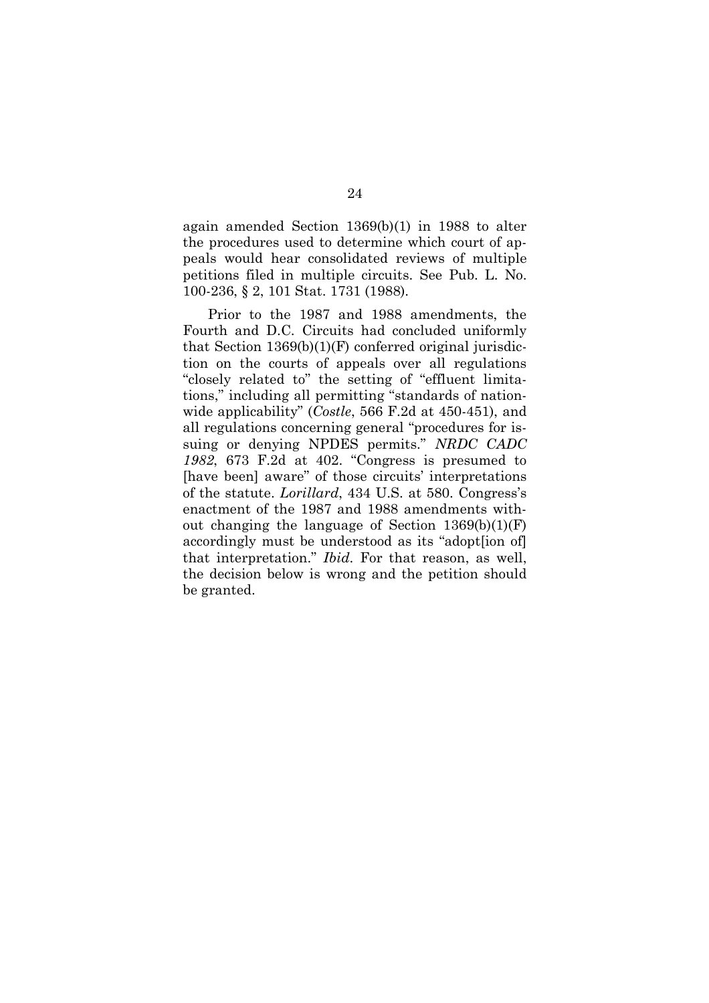again amended Section 1369(b)(1) in 1988 to alter the procedures used to determine which court of appeals would hear consolidated reviews of multiple petitions filed in multiple circuits. See Pub. L. No. 100-236, § 2, 101 Stat. 1731 (1988).

Prior to the 1987 and 1988 amendments, the Fourth and D.C. Circuits had concluded uniformly that Section  $1369(b)(1)(F)$  conferred original jurisdiction on the courts of appeals over all regulations "closely related to" the setting of "effluent limitations," including all permitting "standards of nationwide applicability" (*Costle*, 566 F.2d at 450-451), and all regulations concerning general "procedures for issuing or denying NPDES permits." *NRDC CADC 1982*, 673 F.2d at 402. "Congress is presumed to [have been] aware" of those circuits' interpretations of the statute. *Lorillard*, 434 U.S. at 580. Congress's enactment of the 1987 and 1988 amendments without changing the language of Section  $1369(b)(1)(F)$ accordingly must be understood as its "adopt[ion of] that interpretation." *Ibid*. For that reason, as well, the decision below is wrong and the petition should be granted.